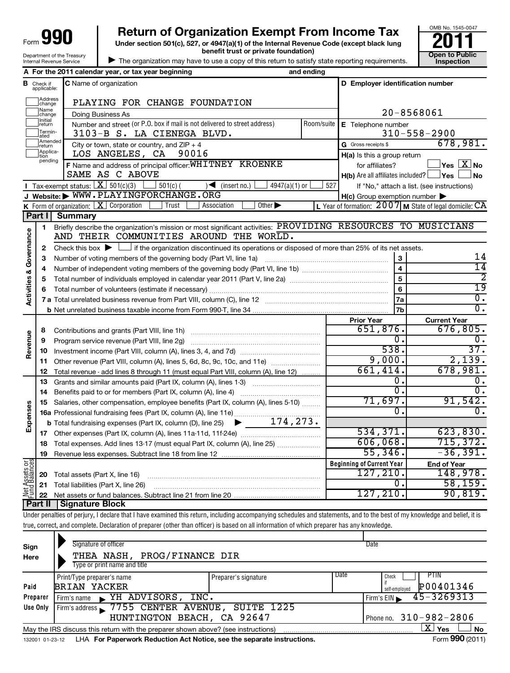# **990** Return of Organization Exempt From Income Tax  $\frac{6008 \text{ No. }1545-004}{2011}$ <br>Under section 501(c), 527, or 4947(a)(1) of the Internal Revenue Code (except black lung

**Under section 501(c), 527, or 4947(a)(1) of the Internal Revenue Code (except black lung benefit trust or private foundation) Construction Construction Construction Construction** 



| The organization may have to use a copy of this return to satisfy state reporting requirements.

|                         |                                  | A For the 2011 calendar year, or tax year beginning                                                                                                                        | and ending |                                                     |                                                           |
|-------------------------|----------------------------------|----------------------------------------------------------------------------------------------------------------------------------------------------------------------------|------------|-----------------------------------------------------|-----------------------------------------------------------|
|                         | <b>B</b> Check if<br>applicable: | C Name of organization                                                                                                                                                     |            | D Employer identification number                    |                                                           |
|                         | Address<br>change                | PLAYING FOR CHANGE FOUNDATION                                                                                                                                              |            |                                                     |                                                           |
|                         | Name<br>change                   | Doing Business As                                                                                                                                                          |            |                                                     | 20-8568061                                                |
|                         | Initial<br>return                | Number and street (or P.O. box if mail is not delivered to street address)                                                                                                 |            | Room/suite E Telephone number                       |                                                           |
|                         | Termin-<br>ated                  | 3103-B S. LA CIENEGA BLVD.                                                                                                                                                 |            |                                                     | $310 - 558 - 2900$                                        |
|                         | Amended<br>Ireturn               | City or town, state or country, and $ZIP + 4$                                                                                                                              |            | G Gross receipts \$                                 | 678,981.                                                  |
|                         | Applica-<br>tion                 | LOS ANGELES, CA<br>90016                                                                                                                                                   |            | H(a) Is this a group return                         |                                                           |
|                         | pending                          | F Name and address of principal officer: WHITNEY KROENKE                                                                                                                   |            | for affiliates?                                     | $\vert$ Yes $\vert$ $\overline{\mathrm{X}}$ No            |
|                         |                                  | SAME AS C ABOVE                                                                                                                                                            |            | $H(b)$ Are all affiliates included? $\Box$ Yes      | l No                                                      |
|                         |                                  | <b>I</b> Tax-exempt status: $X \ 501(c)(3)$ $1 \ 501(c)$<br>$\sqrt{\frac{1}{1}}$ (insert no.)<br>$4947(a)(1)$ or                                                           | 527        |                                                     | If "No," attach a list. (see instructions)                |
|                         |                                  | J Website: WWW.PLAYINGFORCHANGE.ORG                                                                                                                                        |            | $H(c)$ Group exemption number $\blacktriangleright$ |                                                           |
|                         |                                  | <b>K</b> Form of organization: $\boxed{\mathbf{X}}$ Corporation<br>Trust<br>Other $\blacktriangleright$<br>Association                                                     |            |                                                     | L Year of formation: $2007$ M State of legal domicile: CA |
|                         |                                  | Part I Summary                                                                                                                                                             |            |                                                     |                                                           |
|                         | 1                                | Briefly describe the organization's mission or most significant activities: PROVIDING RESOURCES TO MUSICIANS<br>AND THEIR COMMUNITIES AROUND THE WORLD.                    |            |                                                     |                                                           |
| Activities & Governance |                                  | Check this box $\blacktriangleright$ $\Box$ if the organization discontinued its operations or disposed of more than 25% of its net assets.                                |            |                                                     |                                                           |
|                         | 2<br>з                           | Number of voting members of the governing body (Part VI, line 1a)                                                                                                          |            |                                                     | 14                                                        |
|                         | 4                                |                                                                                                                                                                            |            | $\overline{4}$                                      | $\overline{14}$                                           |
|                         | 5                                |                                                                                                                                                                            |            | 5                                                   | $\overline{2}$                                            |
|                         | 6                                |                                                                                                                                                                            |            | 6                                                   | $\overline{19}$                                           |
|                         |                                  |                                                                                                                                                                            | 7a         | $\overline{\mathfrak{o}}$ .                         |                                                           |
|                         |                                  |                                                                                                                                                                            |            | 7b                                                  | σ.                                                        |
|                         |                                  |                                                                                                                                                                            |            | <b>Prior Year</b>                                   | <b>Current Year</b>                                       |
|                         | 8                                | Contributions and grants (Part VIII, line 1h)                                                                                                                              |            | 651,876.                                            | 676,805.                                                  |
| Revenue                 | 9                                | Program service revenue (Part VIII, line 2g)                                                                                                                               |            | 0.                                                  | δ.                                                        |
|                         | 10                               |                                                                                                                                                                            |            | 538.                                                | 37.                                                       |
|                         | 11                               | Other revenue (Part VIII, column (A), lines 5, 6d, 8c, 9c, 10c, and 11e)                                                                                                   |            | 9,000.                                              | 2,139.                                                    |
|                         | 12                               | Total revenue - add lines 8 through 11 (must equal Part VIII, column (A), line 12)                                                                                         |            | 661,414.                                            | 678,981.                                                  |
|                         | 13                               | Grants and similar amounts paid (Part IX, column (A), lines 1-3)                                                                                                           |            | 0.                                                  | $\overline{0}$ .                                          |
|                         | 14                               |                                                                                                                                                                            |            | $\overline{\mathfrak{o}}$ .                         | σ.                                                        |
|                         | 15                               | Salaries, other compensation, employee benefits (Part IX, column (A), lines 5-10)                                                                                          |            | 71,697.                                             | 91,542.                                                   |
| Expenses                |                                  | 16a Professional fundraising fees (Part IX, column (A), line 11e)                                                                                                          |            | σ.                                                  | $\overline{0}$ .                                          |
|                         |                                  | $\blacktriangleright$ 174,273.<br><b>b</b> Total fundraising expenses (Part IX, column (D), line 25)                                                                       |            |                                                     |                                                           |
|                         |                                  |                                                                                                                                                                            |            | 534, 371.                                           | 623,830.                                                  |
|                         |                                  | 18 Total expenses. Add lines 13-17 (must equal Part IX, column (A), line 25)                                                                                               |            | 606,068.                                            | 715, 372.                                                 |
|                         | 19                               |                                                                                                                                                                            |            | 55,346.                                             | $-36,391$ .                                               |
|                         |                                  |                                                                                                                                                                            |            | <b>Beginning of Current Year</b>                    | <b>End of Year</b>                                        |
| Net Assets or           | 20                               | Total assets (Part X, line 16)                                                                                                                                             |            | 127,210.                                            | 148,978.                                                  |
|                         | 21                               | Total liabilities (Part X, line 26)                                                                                                                                        |            | 0.                                                  | 58, 159.                                                  |
|                         | 22                               |                                                                                                                                                                            |            | 127, 210.                                           | 90,819.                                                   |
|                         | Part II                          | Signature Block                                                                                                                                                            |            |                                                     |                                                           |
|                         |                                  | Under penalties of perjury, I declare that I have examined this return, including accompanying schedules and statements, and to the best of my knowledge and belief, it is |            |                                                     |                                                           |
|                         |                                  | true, correct, and complete. Declaration of preparer (other than officer) is based on all information of which preparer has any knowledge.                                 |            |                                                     |                                                           |

| Sign<br>Here | Signature of officer<br>THEA NASH, PROG/FINANCE DIR<br>Type or print name and title  |                              | Date                             |
|--------------|--------------------------------------------------------------------------------------|------------------------------|----------------------------------|
|              | Print/Type preparer's name                                                           | Date<br>Preparer's signature | <b>PTIN</b><br>Check             |
| Paid         | <b>BRIAN YACKER</b>                                                                  |                              | P00401346<br>self-emploved       |
| Preparer     | YH ADVISORS, INC.<br>Firm's name<br>$\mathbf{K}$ .                                   |                              | $45 - 3269313$<br>Firm's EIN     |
| Use Only     | Firm's address 17755 CENTER AVENUE, SUITE 1225                                       |                              |                                  |
|              | HUNTINGTON BEACH, CA 92647                                                           |                              | Phone no. 310-982-2806           |
|              | May the IRS discuss this return with the preparer shown above? (see instructions)    |                              | $\mathbf{X}$ Yes<br><b>No</b>    |
|              | 100001.01.00.10 UUA Fer Denomical Deduction Act Notice and the conquete inctructions |                              | $F_{\text{c}}$ $\sim$ 000 (2011) |

132001 01-23-12 LHA **For Paperwork Reduction Act Notice, see the separate instructions.** The manuscription of the Separate instructions.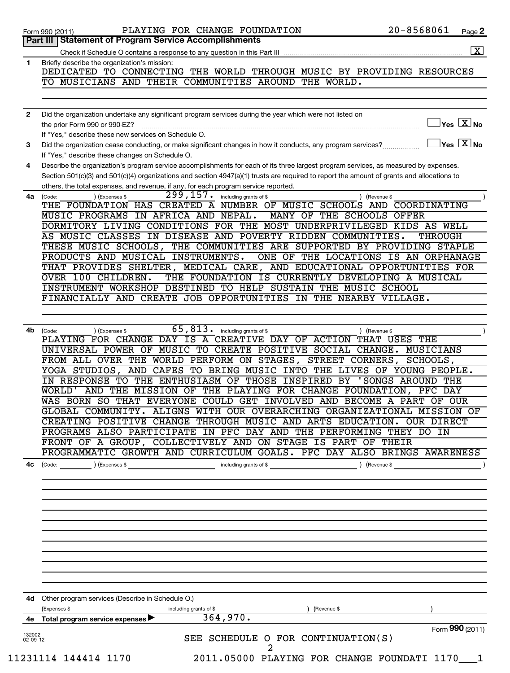|                          | PLAYING FOR CHANGE FOUNDATION<br>Form 990 (2011)<br>Part III   Statement of Program Service Accomplishments                                                                                                                          | 20-8568061<br>Page 2                           |
|--------------------------|--------------------------------------------------------------------------------------------------------------------------------------------------------------------------------------------------------------------------------------|------------------------------------------------|
|                          |                                                                                                                                                                                                                                      |                                                |
| 1                        | Briefly describe the organization's mission:                                                                                                                                                                                         |                                                |
|                          | DEDICATED TO CONNECTING THE WORLD THROUGH MUSIC BY PROVIDING RESOURCES                                                                                                                                                               |                                                |
|                          | TO MUSICIANS AND THEIR COMMUNITIES AROUND THE WORLD.                                                                                                                                                                                 |                                                |
|                          |                                                                                                                                                                                                                                      |                                                |
|                          |                                                                                                                                                                                                                                      |                                                |
| $\mathbf{2}$             | Did the organization undertake any significant program services during the year which were not listed on<br>the prior Form 990 or 990-EZ?                                                                                            | $\sqrt{\mathsf{Yes}\ \mathsf{X}}$ No           |
|                          | If "Yes," describe these new services on Schedule O.                                                                                                                                                                                 |                                                |
| 3                        | Did the organization cease conducting, or make significant changes in how it conducts, any program services?                                                                                                                         | $\gamma_{\mathsf{es}}$ $\boxed{\mathrm{X}}$ No |
|                          | If "Yes," describe these changes on Schedule O.                                                                                                                                                                                      |                                                |
| 4                        | Describe the organization's program service accomplishments for each of its three largest program services, as measured by expenses.                                                                                                 |                                                |
|                          | Section 501(c)(3) and 501(c)(4) organizations and section 4947(a)(1) trusts are required to report the amount of grants and allocations to                                                                                           |                                                |
|                          | others, the total expenses, and revenue, if any, for each program service reported.                                                                                                                                                  |                                                |
| 4a                       | $\overline{299}$ , 157.<br>including grants of \$<br>(Code:<br>(Expenses \$                                                                                                                                                          | (Revenue \$                                    |
|                          | THE FOUNDATION HAS CREATED A NUMBER OF MUSIC SCHOOLS AND COORDINATING                                                                                                                                                                |                                                |
|                          | MUSIC PROGRAMS IN AFRICA AND NEPAL.<br>MANY OF THE SCHOOLS OFFER                                                                                                                                                                     |                                                |
|                          | DORMITORY LIVING CONDITIONS FOR THE MOST UNDERPRIVILEGED KIDS AS WELL                                                                                                                                                                |                                                |
|                          | AS MUSIC CLASSES IN DISEASE AND POVERTY RIDDEN COMMUNITIES.                                                                                                                                                                          | THROUGH                                        |
|                          | THESE MUSIC SCHOOLS, THE COMMUNITIES ARE SUPPORTED BY PROVIDING STAPLE                                                                                                                                                               |                                                |
|                          | PRODUCTS AND MUSICAL INSTRUMENTS.<br>ONE OF THE LOCATIONS IS AN ORPHANAGE                                                                                                                                                            |                                                |
|                          | THAT PROVIDES SHELTER, MEDICAL CARE, AND EDUCATIONAL OPPORTUNITIES FOR                                                                                                                                                               |                                                |
|                          | OVER 100 CHILDREN.<br>THE FOUNDATION IS CURRENTLY DEVELOPING A MUSICAL                                                                                                                                                               |                                                |
|                          | INSTRUMENT WORKSHOP DESTINED TO HELP SUSTAIN THE MUSIC SCHOOL                                                                                                                                                                        |                                                |
|                          | FINANCIALLY AND CREATE JOB OPPORTUNITIES IN THE NEARBY VILLAGE.                                                                                                                                                                      |                                                |
|                          |                                                                                                                                                                                                                                      |                                                |
| 4b                       | 65,813.<br>including grants of \$<br>(Code:<br>(Expenses \$<br>) (Revenue \$                                                                                                                                                         |                                                |
|                          | PLAYING FOR CHANGE DAY IS A CREATIVE DAY OF ACTION THAT USES THE                                                                                                                                                                     |                                                |
|                          | UNIVERSAL POWER OF MUSIC TO CREATE POSITIVE SOCIAL CHANGE. MUSICIANS                                                                                                                                                                 |                                                |
|                          | FROM ALL OVER THE WORLD PERFORM ON STAGES, STREET CORNERS,                                                                                                                                                                           | SCHOOLS,                                       |
|                          | YOGA STUDIOS, AND CAFES TO BRING MUSIC INTO THE LIVES OF YOUNG PEOPLE.                                                                                                                                                               |                                                |
|                          | IN RESPONSE TO THE ENTHUSIASM OF THOSE INSPIRED BY 'SONGS AROUND THE                                                                                                                                                                 |                                                |
|                          | WORLD' AND THE MISSION OF THE PLAYING FOR CHANGE FOUNDATION, PFC DAY                                                                                                                                                                 |                                                |
|                          | WAS BORN SO THAT EVERYONE COULD GET INVOLVED AND BECOME A PART OF OUR                                                                                                                                                                |                                                |
|                          | GLOBAL COMMUNITY. ALIGNS WITH OUR OVERARCHING ORGANIZATIONAL MISSION OF                                                                                                                                                              |                                                |
|                          | CREATING POSITIVE CHANGE THROUGH MUSIC AND ARTS EDUCATION. OUR DIRECT                                                                                                                                                                |                                                |
|                          | PROGRAMS ALSO PARTICIPATE IN PFC DAY AND THE PERFORMING THEY DO IN                                                                                                                                                                   |                                                |
|                          | FRONT OF A GROUP, COLLECTIVELY AND ON STAGE IS PART OF THEIR                                                                                                                                                                         |                                                |
|                          | PROGRAMMATIC GROWTH AND CURRICULUM GOALS. PFC DAY ALSO BRINGS AWARENESS                                                                                                                                                              |                                                |
| 4с                       | (Code: <u>same )</u> (Expenses \$ contained a set of the code of the code of the code of the code of the code of the code of the code of the code of the code of the code of the code of the code of the code of the code of the cod |                                                |
|                          |                                                                                                                                                                                                                                      |                                                |
|                          |                                                                                                                                                                                                                                      |                                                |
|                          |                                                                                                                                                                                                                                      |                                                |
|                          |                                                                                                                                                                                                                                      |                                                |
|                          |                                                                                                                                                                                                                                      |                                                |
|                          |                                                                                                                                                                                                                                      |                                                |
|                          |                                                                                                                                                                                                                                      |                                                |
|                          |                                                                                                                                                                                                                                      |                                                |
|                          |                                                                                                                                                                                                                                      |                                                |
|                          |                                                                                                                                                                                                                                      |                                                |
|                          | 4d Other program services (Describe in Schedule O.)                                                                                                                                                                                  |                                                |
|                          | (Expenses \$<br>including grants of \$<br>) (Revenue \$<br>364,970.                                                                                                                                                                  |                                                |
|                          | 4e Total program service expenses                                                                                                                                                                                                    |                                                |
|                          |                                                                                                                                                                                                                                      | Form 990 (2011)                                |
| 132002<br>$02 - 09 - 12$ | SEE SCHEDULE O FOR CONTINUATION(S)<br>$\overline{a}$                                                                                                                                                                                 |                                                |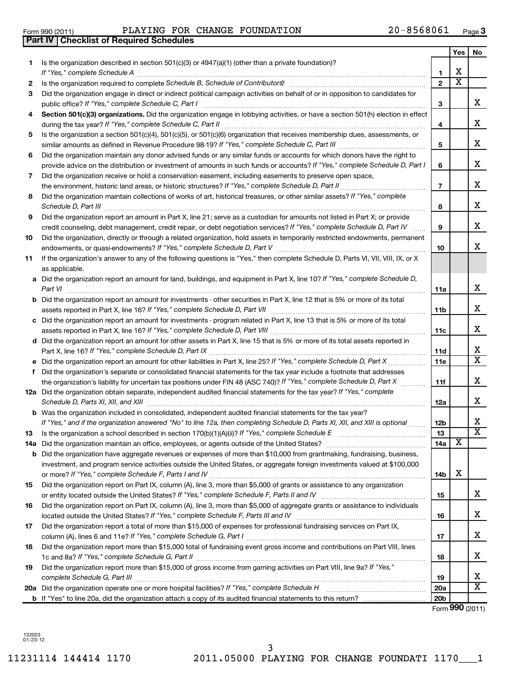**1**

**2**

11231114 144414 1170 2011.05000 PLAYING FOR CHANGE FOUNDATI 1170\_\_\_1 3

| 5   | Is the organization a section $501(c)(4)$ , $501(c)(5)$ , or $501(c)(6)$ organization that receives membership dues, assessments, or<br>similar amounts as defined in Revenue Procedure 98-19? If "Yes," complete Schedule C, Part III | 5               |   | х                     |
|-----|----------------------------------------------------------------------------------------------------------------------------------------------------------------------------------------------------------------------------------------|-----------------|---|-----------------------|
| 6   | Did the organization maintain any donor advised funds or any similar funds or accounts for which donors have the right to                                                                                                              |                 |   |                       |
|     | provide advice on the distribution or investment of amounts in such funds or accounts? If "Yes," complete Schedule D, Part I                                                                                                           | 6               |   | х                     |
| 7   | Did the organization receive or hold a conservation easement, including easements to preserve open space,                                                                                                                              |                 |   |                       |
|     | the environment, historic land areas, or historic structures? If "Yes," complete Schedule D, Part II                                                                                                                                   | $\overline{7}$  |   | х                     |
| 8   | Did the organization maintain collections of works of art, historical treasures, or other similar assets? If "Yes," complete<br>Schedule D, Part III                                                                                   | 8               |   | х                     |
| 9   | Did the organization report an amount in Part X, line 21; serve as a custodian for amounts not listed in Part X; or provide                                                                                                            |                 |   |                       |
|     | credit counseling, debt management, credit repair, or debt negotiation services? If "Yes," complete Schedule D, Part IV                                                                                                                | 9               |   | х                     |
| 10  | Did the organization, directly or through a related organization, hold assets in temporarily restricted endowments, permanent                                                                                                          | 10              |   | X                     |
| 11  | If the organization's answer to any of the following questions is "Yes," then complete Schedule D, Parts VI, VII, VIII, IX, or X<br>as applicable.                                                                                     |                 |   |                       |
|     | a Did the organization report an amount for land, buildings, and equipment in Part X, line 10? If "Yes," complete Schedule D,                                                                                                          |                 |   |                       |
|     | Part VI                                                                                                                                                                                                                                | 11a             |   | х                     |
| b   | Did the organization report an amount for investments - other securities in Part X, line 12 that is 5% or more of its total                                                                                                            |                 |   |                       |
|     |                                                                                                                                                                                                                                        | 11 <sub>b</sub> |   | х                     |
| с   | Did the organization report an amount for investments - program related in Part X, line 13 that is 5% or more of its total                                                                                                             |                 |   |                       |
|     |                                                                                                                                                                                                                                        | 11c             |   | х                     |
| d   | Did the organization report an amount for other assets in Part X, line 15 that is 5% or more of its total assets reported in                                                                                                           |                 |   |                       |
|     |                                                                                                                                                                                                                                        | <b>11d</b>      |   | х                     |
| е   | Did the organization report an amount for other liabilities in Part X, line 25? If "Yes," complete Schedule D, Part X                                                                                                                  | 11e             |   | х                     |
| f   | Did the organization's separate or consolidated financial statements for the tax year include a footnote that addresses                                                                                                                |                 |   |                       |
|     | the organization's liability for uncertain tax positions under FIN 48 (ASC 740)? If "Yes," complete Schedule D, Part X                                                                                                                 | 11f             |   | X                     |
|     | 12a Did the organization obtain separate, independent audited financial statements for the tax year? If "Yes," complete<br>Schedule D, Parts XI, XII, and XIII                                                                         | 12a             |   | х                     |
|     | <b>b</b> Was the organization included in consolidated, independent audited financial statements for the tax year?                                                                                                                     |                 |   |                       |
|     | If "Yes," and if the organization answered "No" to line 12a, then completing Schedule D, Parts XI, XII, and XIII is optional                                                                                                           | <b>12b</b>      |   | х                     |
| 13  | Is the organization a school described in section $170(b)(1)(A)(ii)?$ If "Yes," complete Schedule E                                                                                                                                    | 13              |   | $\overline{\text{X}}$ |
| 14a | Did the organization maintain an office, employees, or agents outside of the United States?                                                                                                                                            | 14a             | x |                       |
| b   | Did the organization have aggregate revenues or expenses of more than \$10,000 from grantmaking, fundraising, business,                                                                                                                |                 |   |                       |
|     | investment, and program service activities outside the United States, or aggregate foreign investments valued at \$100,000                                                                                                             |                 |   |                       |
|     |                                                                                                                                                                                                                                        | 14b             | х |                       |
| 15  | Did the organization report on Part IX, column (A), line 3, more than \$5,000 of grants or assistance to any organization                                                                                                              | 15              |   | х                     |
| 16  | Did the organization report on Part IX, column (A), line 3, more than \$5,000 of aggregate grants or assistance to individuals                                                                                                         |                 |   |                       |
|     | located outside the United States? If "Yes," complete Schedule F, Parts III and IV                                                                                                                                                     | 16              |   | х                     |
| 17  | Did the organization report a total of more than \$15,000 of expenses for professional fundraising services on Part IX,                                                                                                                | 17              |   | x                     |
| 18  | Did the organization report more than \$15,000 total of fundraising event gross income and contributions on Part VIII, lines                                                                                                           |                 |   |                       |
|     |                                                                                                                                                                                                                                        | 18              |   | x                     |
| 19  | Did the organization report more than \$15,000 of gross income from gaming activities on Part VIII, line 9a? If "Yes,"                                                                                                                 | 19              |   | X                     |
| 20a |                                                                                                                                                                                                                                        | 20a             |   | $\overline{\text{X}}$ |

**b** If "Yes" to line 20a, did the organization attach a copy of its audited financial statements to this return?

#### **4** Section 501(c)(3) organizations. Did the organization engage in lobbying activities, or have a section 501(h) election in effect *If "Yes," complete Schedule C, Part I* public office? ~~~~~~~~~~~~~~~~~~~~~~~~~~~~~~~~~~~~ *If "Yes," complete Schedule C, Part II* during the tax year? ~~~~~~~~~~~~~~~~~~~~~~~~~~~~~~~~~

| during the tax year : " Too, complete concadio of I art !!"                                                                 |
|-----------------------------------------------------------------------------------------------------------------------------|
| 5 Is the organization a section 501(c)(4), 501(c)(5), or 501(c)(6) organization that receives membership dues, assessments, |
| similar amounts as defined in Revenue Procedure 98-19? If "Yes," complete Schedule C, Part III                              |

**3** Did the organization engage in direct or indirect political campaign activities on behalf of or in opposition to candidates for

*If "Yes," complete Schedule A* ~~~~~~~~~~~~~~~~~~~~~~~~~~~~~~~~~~~~~~~~~~~~~~~ *Schedule B, Schedule of Contributors* Is the organization required to complete ? ~~~~~~~~~~~~~~~~~~~~~~

| Form 990 (2011) | PLAYING FOR CHANGE FOUNDATION |  | 20-8568061 | Page |
|-----------------|-------------------------------|--|------------|------|
|                 |                               |  |            |      |

Is the organization described in section 501(c)(3) or 4947(a)(1) (other than a private foundation)?

**Part IV Checklist of Required Schedules**

**3**

Form (2011) **990**

**20b**

**1 2**

**3**

**4**

**Yes No**

X

X

X  $\overline{\texttt{x}}$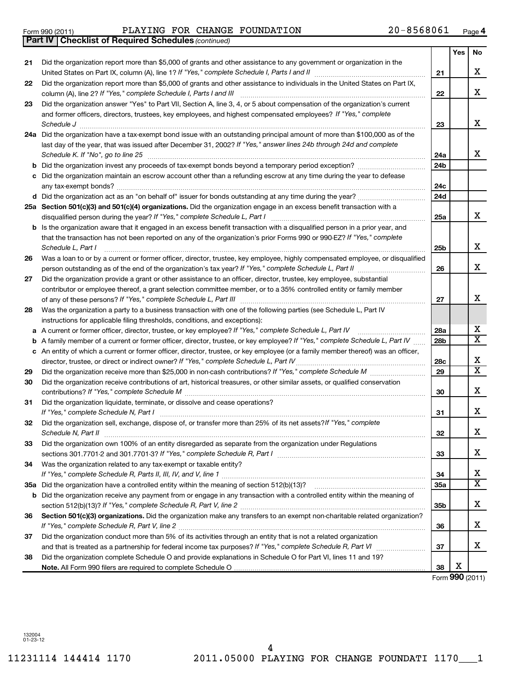Form 990 (2011)  $\qquad \qquad$  PLAYING FOR CHANGE FOUNDATION  $\qquad \qquad 20-8568061$   $_{\text{Page}}$ 

*(continued)* **Part IV Checklist of Required Schedules**

|     |                                                                                                                                                                                                                             |                 | Yes | No                      |
|-----|-----------------------------------------------------------------------------------------------------------------------------------------------------------------------------------------------------------------------------|-----------------|-----|-------------------------|
| 21  | Did the organization report more than \$5,000 of grants and other assistance to any government or organization in the                                                                                                       |                 |     |                         |
|     | United States on Part IX, column (A), line 1? If "Yes," complete Schedule I, Parts I and II                                                                                                                                 | 21              |     | х                       |
| 22  | Did the organization report more than \$5,000 of grants and other assistance to individuals in the United States on Part IX,<br>column (A), line 2? If "Yes," complete Schedule I, Parts I and III                          | 22              |     | X                       |
| 23  | Did the organization answer "Yes" to Part VII, Section A, line 3, 4, or 5 about compensation of the organization's current                                                                                                  |                 |     |                         |
|     | and former officers, directors, trustees, key employees, and highest compensated employees? If "Yes," complete                                                                                                              |                 |     |                         |
|     | Schedule J                                                                                                                                                                                                                  | 23              |     | x                       |
|     | 24a Did the organization have a tax-exempt bond issue with an outstanding principal amount of more than \$100,000 as of the                                                                                                 |                 |     |                         |
|     | last day of the year, that was issued after December 31, 2002? If "Yes," answer lines 24b through 24d and complete<br>Schedule K. If "No", go to line 25                                                                    | 24a             |     | x                       |
| b   | Did the organization invest any proceeds of tax-exempt bonds beyond a temporary period exception?                                                                                                                           | 24b             |     |                         |
| c   | Did the organization maintain an escrow account other than a refunding escrow at any time during the year to defease                                                                                                        |                 |     |                         |
|     |                                                                                                                                                                                                                             | 24c             |     |                         |
|     | d Did the organization act as an "on behalf of" issuer for bonds outstanding at any time during the year?                                                                                                                   | 24d             |     |                         |
|     | 25a Section 501(c)(3) and 501(c)(4) organizations. Did the organization engage in an excess benefit transaction with a                                                                                                      |                 |     |                         |
|     | disqualified person during the year? If "Yes," complete Schedule L, Part I                                                                                                                                                  | 25a             |     | X                       |
|     | <b>b</b> Is the organization aware that it engaged in an excess benefit transaction with a disqualified person in a prior year, and                                                                                         |                 |     |                         |
|     | that the transaction has not been reported on any of the organization's prior Forms 990 or 990-EZ? If "Yes," complete                                                                                                       |                 |     |                         |
|     | Schedule L, Part I                                                                                                                                                                                                          | 25b             |     | X                       |
| 26  | Was a loan to or by a current or former officer, director, trustee, key employee, highly compensated employee, or disqualified                                                                                              |                 |     |                         |
|     |                                                                                                                                                                                                                             | 26              |     | X                       |
| 27  | Did the organization provide a grant or other assistance to an officer, director, trustee, key employee, substantial                                                                                                        |                 |     |                         |
|     | contributor or employee thereof, a grant selection committee member, or to a 35% controlled entity or family member                                                                                                         |                 |     |                         |
|     |                                                                                                                                                                                                                             | 27              |     | x                       |
| 28  | Was the organization a party to a business transaction with one of the following parties (see Schedule L, Part IV                                                                                                           |                 |     |                         |
|     | instructions for applicable filing thresholds, conditions, and exceptions):                                                                                                                                                 |                 |     | х                       |
| а   | A current or former officer, director, trustee, or key employee? If "Yes," complete Schedule L, Part IV                                                                                                                     | 28a             |     | х                       |
| b   | A family member of a current or former officer, director, trustee, or key employee? If "Yes," complete Schedule L, Part IV                                                                                                  | 28 <sub>b</sub> |     |                         |
|     | c An entity of which a current or former officer, director, trustee, or key employee (or a family member thereof) was an officer,<br>director, trustee, or direct or indirect owner? If "Yes," complete Schedule L, Part IV | 28c             |     | х                       |
| 29  |                                                                                                                                                                                                                             | 29              |     | $\overline{\textbf{x}}$ |
| 30  | Did the organization receive contributions of art, historical treasures, or other similar assets, or qualified conservation                                                                                                 |                 |     |                         |
|     | contributions? If "Yes," complete Schedule M                                                                                                                                                                                | 30              |     | х                       |
| 31  | Did the organization liquidate, terminate, or dissolve and cease operations?                                                                                                                                                |                 |     |                         |
|     | If "Yes," complete Schedule N, Part I                                                                                                                                                                                       | 31              |     | х                       |
| 32  | Did the organization sell, exchange, dispose of, or transfer more than 25% of its net assets? If "Yes," complete                                                                                                            |                 |     |                         |
|     | Schedule N, Part II                                                                                                                                                                                                         | 32              |     | X                       |
| 33  | Did the organization own 100% of an entity disregarded as separate from the organization under Regulations                                                                                                                  |                 |     |                         |
|     | sections 301.7701-2 and 301.7701-3? If "Yes," complete Schedule R, Part I [1] [1] [1] [1] [1] [1] sections 301.7701-2 and 301.7701-3? If "Yes," complete Schedule R, Part I                                                 | 33              |     | x                       |
| 34  | Was the organization related to any tax-exempt or taxable entity?                                                                                                                                                           |                 |     |                         |
|     |                                                                                                                                                                                                                             | 34              |     | х                       |
| 35а |                                                                                                                                                                                                                             | 35a             |     | $\overline{\textbf{x}}$ |
| b   | Did the organization receive any payment from or engage in any transaction with a controlled entity within the meaning of                                                                                                   |                 |     |                         |
|     |                                                                                                                                                                                                                             | 35b             |     | х                       |
| 36  | Section 501(c)(3) organizations. Did the organization make any transfers to an exempt non-charitable related organization?                                                                                                  |                 |     |                         |
|     |                                                                                                                                                                                                                             | 36              |     | х                       |
| 37  | Did the organization conduct more than 5% of its activities through an entity that is not a related organization                                                                                                            |                 |     |                         |
|     |                                                                                                                                                                                                                             | 37              |     | x                       |
| 38  | Did the organization complete Schedule O and provide explanations in Schedule O for Part VI, lines 11 and 19?                                                                                                               |                 |     |                         |
|     |                                                                                                                                                                                                                             | 38              | х   |                         |

Form (2011) **990**

132004 01-23-12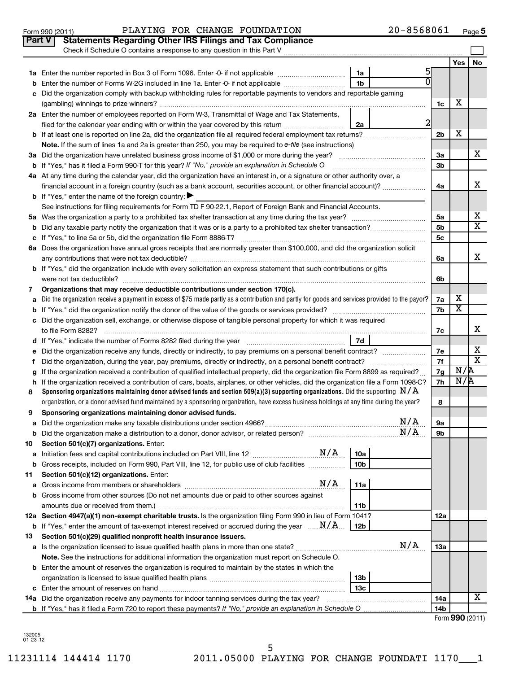|    | Check if Schedule O contains a response to any question in this Part V                                                                          |                        |                |                |                         |                         |
|----|-------------------------------------------------------------------------------------------------------------------------------------------------|------------------------|----------------|----------------|-------------------------|-------------------------|
|    |                                                                                                                                                 |                        |                |                | Yes                     | No                      |
|    |                                                                                                                                                 | 1a                     | 5              |                |                         |                         |
| b  | Enter the number of Forms W-2G included in line 1a. Enter -0- if not applicable                                                                 | 1 <sub>b</sub>         |                |                |                         |                         |
| C  | Did the organization comply with backup withholding rules for reportable payments to vendors and reportable gaming                              |                        |                |                |                         |                         |
|    |                                                                                                                                                 |                        |                | 1c             | х                       |                         |
|    | 2a Enter the number of employees reported on Form W-3, Transmittal of Wage and Tax Statements,                                                  |                        |                |                |                         |                         |
|    | filed for the calendar year ending with or within the year covered by this return                                                               | 2a                     | $\overline{2}$ |                |                         |                         |
|    | b If at least one is reported on line 2a, did the organization file all required federal employment tax returns?                                |                        |                | 2 <sub>b</sub> | х                       |                         |
|    | Note. If the sum of lines 1a and 2a is greater than 250, you may be required to e-file (see instructions)                                       |                        |                |                |                         |                         |
|    | 3a Did the organization have unrelated business gross income of \$1,000 or more during the year?                                                |                        |                | За             |                         | x                       |
|    | <b>b</b> If "Yes," has it filed a Form 990-T for this year? If "No," provide an explanation in Schedule O                                       |                        |                | 3 <sub>b</sub> |                         |                         |
|    | 4a At any time during the calendar year, did the organization have an interest in, or a signature or other authority over, a                    |                        |                |                |                         |                         |
|    | financial account in a foreign country (such as a bank account, securities account, or other financial account)?                                |                        |                | 4a             |                         | х                       |
|    | <b>b</b> If "Yes," enter the name of the foreign country:                                                                                       |                        |                |                |                         |                         |
|    | See instructions for filing requirements for Form TD F 90-22.1, Report of Foreign Bank and Financial Accounts.                                  |                        |                |                |                         |                         |
|    |                                                                                                                                                 |                        |                | 5a             |                         | х                       |
|    |                                                                                                                                                 |                        |                | 5 <sub>b</sub> |                         | $\overline{\textbf{x}}$ |
|    |                                                                                                                                                 |                        |                | 5c             |                         |                         |
|    | 6a Does the organization have annual gross receipts that are normally greater than \$100,000, and did the organization solicit                  |                        |                |                |                         |                         |
|    |                                                                                                                                                 |                        |                | 6a             |                         | х                       |
|    | b If "Yes," did the organization include with every solicitation an express statement that such contributions or gifts                          |                        |                |                |                         |                         |
|    | were not tax deductible?                                                                                                                        |                        |                | 6b             |                         |                         |
| 7  | Organizations that may receive deductible contributions under section 170(c).                                                                   |                        |                |                | х                       |                         |
| a  | Did the organization receive a payment in excess of \$75 made partly as a contribution and partly for goods and services provided to the payor? |                        |                | 7a<br>7b       | $\overline{\textbf{x}}$ |                         |
|    |                                                                                                                                                 |                        |                |                |                         |                         |
|    | c Did the organization sell, exchange, or otherwise dispose of tangible personal property for which it was required<br>to file Form 8282?       |                        |                | 7c             |                         | х                       |
|    | 7d<br>d If "Yes," indicate the number of Forms 8282 filed during the year                                                                       |                        |                |                |                         |                         |
| e  | Did the organization receive any funds, directly or indirectly, to pay premiums on a personal benefit contract?                                 |                        |                | 7e             |                         | х                       |
| f  |                                                                                                                                                 |                        |                | 7f             |                         | $\overline{\texttt{x}}$ |
| g  | If the organization received a contribution of qualified intellectual property, did the organization file Form 8899 as required?                |                        |                | 7g             | N/R                     |                         |
|    | h If the organization received a contribution of cars, boats, airplanes, or other vehicles, did the organization file a Form 1098-C?            |                        |                | 7h             | N/R                     |                         |
| 8  | Sponsoring organizations maintaining donor advised funds and section 509(a)(3) supporting organizations. Did the supporting $N/A$               |                        |                |                |                         |                         |
|    | organization, or a donor advised fund maintained by a sponsoring organization, have excess business holdings at any time during the year?       |                        |                | 8              |                         |                         |
| 9  | Sponsoring organizations maintaining donor advised funds.                                                                                       |                        |                |                |                         |                         |
| а  |                                                                                                                                                 |                        | N/A            | <b>9a</b>      |                         |                         |
|    | <b>b</b> Did the organization make a distribution to a donor, donor advisor, or related person?                                                 |                        | N/A            | 9b             |                         |                         |
| 10 | Section 501(c)(7) organizations. Enter:                                                                                                         |                        |                |                |                         |                         |
| а  |                                                                                                                                                 | 10a                    |                |                |                         |                         |
| b  | Gross receipts, included on Form 990, Part VIII, line 12, for public use of club facilities                                                     | 10 <sub>b</sub>        |                |                |                         |                         |
| 11 | Section 501(c)(12) organizations. Enter:                                                                                                        |                        |                |                |                         |                         |
| а  | N/A                                                                                                                                             | 11a                    |                |                |                         |                         |
| b  | Gross income from other sources (Do not net amounts due or paid to other sources against                                                        |                        |                |                |                         |                         |
|    |                                                                                                                                                 | 11b                    |                |                |                         |                         |
|    | 12a Section 4947(a)(1) non-exempt charitable trusts. Is the organization filing Form 990 in lieu of Form 1041?                                  |                        |                | 12a            |                         |                         |
|    | <b>b</b> If "Yes," enter the amount of tax-exempt interest received or accrued during the year $\ldots$ $N/A$ .                                 | 12b                    |                |                |                         |                         |
| 13 | Section 501(c)(29) qualified nonprofit health insurance issuers.                                                                                |                        | N/A            |                |                         |                         |
|    |                                                                                                                                                 |                        |                | 13a            |                         |                         |
|    | Note. See the instructions for additional information the organization must report on Schedule O.                                               |                        |                |                |                         |                         |
|    | <b>b</b> Enter the amount of reserves the organization is required to maintain by the states in which the                                       |                        |                |                |                         |                         |
|    |                                                                                                                                                 | 13 <sub>b</sub><br>13c |                |                |                         |                         |
|    | <b>14a</b> Did the organization receive any payments for indoor tanning services during the tax year?                                           |                        |                | 14a            |                         | x                       |
|    |                                                                                                                                                 |                        |                | 14b            |                         |                         |
|    |                                                                                                                                                 |                        |                |                |                         |                         |

| Form 990 (2011) |  |
|-----------------|--|
|-----------------|--|

132005 01-23-12

**Part V** Statements Regarding Other IRS Filings and Tax Compliance

| Form 990 (2011) | PLAYING FOR CHANGE FOUNDATION |  |  | 20-8568061 | Page |
|-----------------|-------------------------------|--|--|------------|------|
|-----------------|-------------------------------|--|--|------------|------|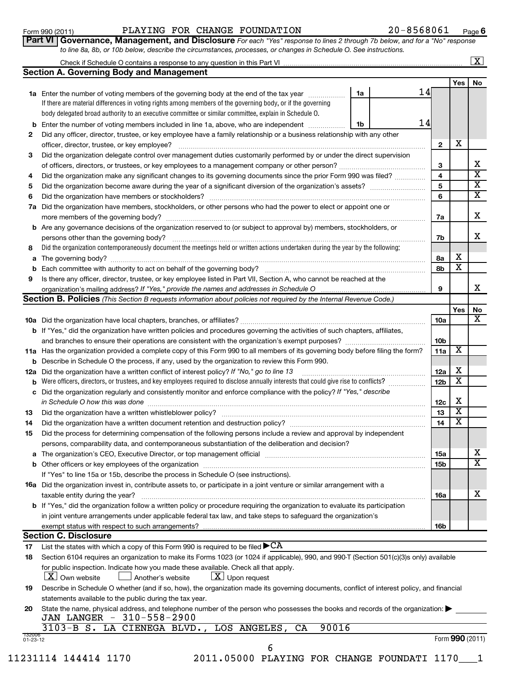### Form 990 (2011)  $\qquad \qquad$  PLAYING FOR CHANGE FOUNDATION  $\qquad \qquad 20-8568061$   $_{\text{Page}}$

20-8568061 Page 6

|   | Part VI   Governance, Management, and Disclosure For each "Yes" response to lines 2 through 7b below, and for a "No" response<br>to line 8a, 8b, or 10b below, describe the circumstances, processes, or changes in Schedule O. See instructions.                                                                                                                             |    |    |                         |                         |                         |
|---|-------------------------------------------------------------------------------------------------------------------------------------------------------------------------------------------------------------------------------------------------------------------------------------------------------------------------------------------------------------------------------|----|----|-------------------------|-------------------------|-------------------------|
|   |                                                                                                                                                                                                                                                                                                                                                                               |    |    |                         |                         | $\lfloor x \rfloor$     |
|   | <b>Section A. Governing Body and Management</b>                                                                                                                                                                                                                                                                                                                               |    |    |                         |                         |                         |
|   |                                                                                                                                                                                                                                                                                                                                                                               |    |    |                         | Yes                     | <b>No</b>               |
|   | 1a Enter the number of voting members of the governing body at the end of the tax year <i>manumum</i>                                                                                                                                                                                                                                                                         | 1a | 14 |                         |                         |                         |
|   | If there are material differences in voting rights among members of the governing body, or if the governing                                                                                                                                                                                                                                                                   |    |    |                         |                         |                         |
|   | body delegated broad authority to an executive committee or similar committee, explain in Schedule O.                                                                                                                                                                                                                                                                         |    |    |                         |                         |                         |
|   | Enter the number of voting members included in line 1a, above, who are independent                                                                                                                                                                                                                                                                                            | 1b | 14 |                         |                         |                         |
| 2 | Did any officer, director, trustee, or key employee have a family relationship or a business relationship with any other                                                                                                                                                                                                                                                      |    |    |                         |                         |                         |
|   | officer, director, trustee, or key employee?                                                                                                                                                                                                                                                                                                                                  |    |    | $\overline{2}$          | X                       |                         |
| 3 | Did the organization delegate control over management duties customarily performed by or under the direct supervision                                                                                                                                                                                                                                                         |    |    |                         |                         |                         |
|   |                                                                                                                                                                                                                                                                                                                                                                               |    |    | 3                       |                         | x                       |
| 4 | Did the organization make any significant changes to its governing documents since the prior Form 990 was filed?                                                                                                                                                                                                                                                              |    |    | $\overline{\mathbf{4}}$ |                         | $\overline{\mathbf{X}}$ |
| 5 |                                                                                                                                                                                                                                                                                                                                                                               |    |    | 5                       |                         | $\overline{\mathtt{x}}$ |
| 6 |                                                                                                                                                                                                                                                                                                                                                                               |    |    | 6                       |                         | $\overline{\mathtt{x}}$ |
|   | 7a Did the organization have members, stockholders, or other persons who had the power to elect or appoint one or                                                                                                                                                                                                                                                             |    |    |                         |                         |                         |
|   | more members of the governing body?<br>$\begin{bmatrix} \begin{bmatrix} 0 & 0 & 0 \\ 0 & 0 & 0 \\ 0 & 0 & 0 \\ 0 & 0 & 0 \\ 0 & 0 & 0 \\ 0 & 0 & 0 \\ 0 & 0 & 0 \\ 0 & 0 & 0 & 0 \\ 0 & 0 & 0 & 0 \\ 0 & 0 & 0 & 0 \\ 0 & 0 & 0 & 0 & 0 \\ 0 & 0 & 0 & 0 & 0 \\ 0 & 0 & 0 & 0 & 0 \\ 0 & 0 & 0 & 0 & 0 & 0 \\ 0 & 0 & 0 & 0 & 0 & 0 \\ 0 & 0 & 0 & 0 & 0 & 0 \\ 0 & 0 & 0 & $ |    |    | 7a                      |                         | x                       |
|   | <b>b</b> Are any governance decisions of the organization reserved to (or subject to approval by) members, stockholders, or                                                                                                                                                                                                                                                   |    |    |                         |                         |                         |
|   | persons other than the governing body?                                                                                                                                                                                                                                                                                                                                        |    |    | 7b                      |                         | x                       |
| 8 | Did the organization contemporaneously document the meetings held or written actions undertaken during the year by the following:                                                                                                                                                                                                                                             |    |    |                         |                         |                         |
| а | The governing body?                                                                                                                                                                                                                                                                                                                                                           |    |    | 8а                      | х                       |                         |
| b | Each committee with authority to act on behalf of the governing body?                                                                                                                                                                                                                                                                                                         |    |    | 8b                      | X                       |                         |
| 9 | Is there any officer, director, trustee, or key employee listed in Part VII, Section A, who cannot be reached at the                                                                                                                                                                                                                                                          |    |    |                         |                         |                         |
|   | organization's mailing address? If "Yes," provide the names and addresses in Schedule O                                                                                                                                                                                                                                                                                       |    |    | 9                       |                         | x                       |
|   | Section B. Policies (This Section B requests information about policies not required by the Internal Revenue Code.)                                                                                                                                                                                                                                                           |    |    |                         |                         |                         |
|   |                                                                                                                                                                                                                                                                                                                                                                               |    |    |                         | Yes                     | No                      |
|   |                                                                                                                                                                                                                                                                                                                                                                               |    |    | 10a                     |                         | $\overline{\mathbf{X}}$ |
|   | <b>b</b> If "Yes," did the organization have written policies and procedures governing the activities of such chapters, affiliates,                                                                                                                                                                                                                                           |    |    |                         |                         |                         |
|   |                                                                                                                                                                                                                                                                                                                                                                               |    |    | 10 <sub>b</sub>         |                         |                         |
|   | 11a Has the organization provided a complete copy of this Form 990 to all members of its governing body before filing the form?                                                                                                                                                                                                                                               |    |    | 11a                     | $\overline{\textbf{x}}$ |                         |
|   | <b>b</b> Describe in Schedule O the process, if any, used by the organization to review this Form 990.                                                                                                                                                                                                                                                                        |    |    |                         |                         |                         |
|   | <b>12a</b> Did the organization have a written conflict of interest policy? If "No," go to line 13                                                                                                                                                                                                                                                                            |    |    | 12a                     | x                       |                         |
|   | <b>b</b> Were officers, directors, or trustees, and key employees required to disclose annually interests that could give rise to conflicts?                                                                                                                                                                                                                                  |    |    | 12 <sub>b</sub>         | $\overline{\textbf{x}}$ |                         |
|   | c Did the organization regularly and consistently monitor and enforce compliance with the policy? If "Yes," describe                                                                                                                                                                                                                                                          |    |    |                         |                         |                         |

|    | in Schedule O how this was done                                                                                                                                                                                                |
|----|--------------------------------------------------------------------------------------------------------------------------------------------------------------------------------------------------------------------------------|
| 13 |                                                                                                                                                                                                                                |
| 14 | Did the organization have a written document retention and destruction policy? [11] manufaction manufaction in                                                                                                                 |
| 15 | Did the process for determining compensation of the following persons include a review and approval by independent                                                                                                             |
|    | persons, comparability data, and contemporaneous substantiation of the deliberation and decision?                                                                                                                              |
|    | a The organization's CEO, Executive Director, or top management official manufactured content of the organization's CEO, Executive Director, or top management official manufactured in the state of the state of the state of |
|    |                                                                                                                                                                                                                                |
|    | If "Yes" to line 15a or 15b, describe the process in Schedule O (see instructions).                                                                                                                                            |
|    |                                                                                                                                                                                                                                |

| 16a Did the organization invest in, contribute assets to, or participate in a joint venture or similar arrangement with a             |                 |   |
|---------------------------------------------------------------------------------------------------------------------------------------|-----------------|---|
| taxable entity during the year?                                                                                                       | 16a             | v |
| <b>b</b> If "Yes," did the organization follow a written policy or procedure requiring the organization to evaluate its participation |                 |   |
| in joint venture arrangements under applicable federal tax law, and take steps to safeguard the organization's                        |                 |   |
| exempt status with respect to such arrangements?                                                                                      | 16 <sub>b</sub> |   |
|                                                                                                                                       |                 |   |

## **Section C. Disclosure**

17 List the states with which a copy of this Form 990 is required to be filed  $\blacktriangleright$  CA

| 18 Section 6104 requires an organization to make its Forms 1023 (or 1024 if applicable), 990, and 990 T (Section 501(c)(3)s only) available |
|---------------------------------------------------------------------------------------------------------------------------------------------|
| for public inspection. Indicate how you made these available. Check all that apply.                                                         |

 $\boxed{\textbf{X}}$  Own website  $\boxed{\textbf{X}}$  Another's website  $\boxed{\textbf{X}}$  Upon request

| 19 Describe in Schedule O whether (and if so, how), the organization made its governing documents, conflict of interest policy, and financial |
|-----------------------------------------------------------------------------------------------------------------------------------------------|
| statements available to the public during the tax year.                                                                                       |

6

| 20 State the name, physical address, and telephone number of the person who possesses the books and records of the organization: |
|----------------------------------------------------------------------------------------------------------------------------------|
| JAN LANGER - 310-558-2900                                                                                                        |

| 3103-B S. LA CIENEGA BLVD., LOS ANGELES, CA 90016 |  |  |  |
|---------------------------------------------------|--|--|--|
|---------------------------------------------------|--|--|--|

132006 01-23-12

Form (2011) **990**

**12c 13 14**

X  $\overline{\texttt{x}}$  $\overline{\text{x}}$ 

> X  $\overline{\mathtt{x}}$

**15a 15b**

11231114 144414 1170 2011.05000 PLAYING FOR CHANGE FOUNDATI 1170\_\_\_1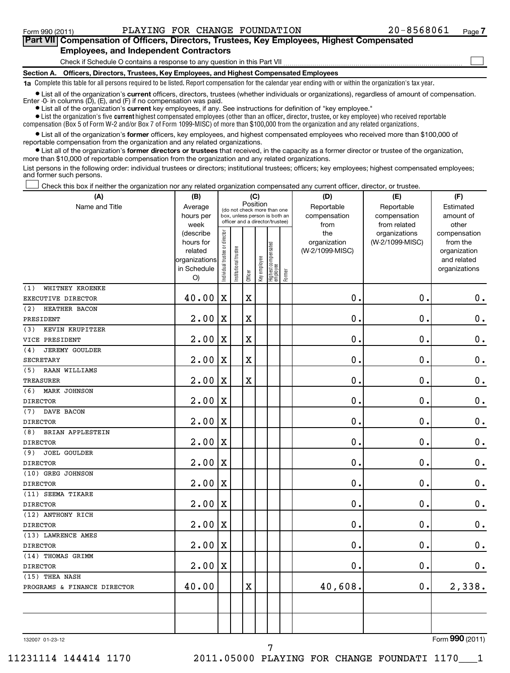$\sim$ 

# **Part VII Compensation of Officers, Directors, Trustees, Key Employees, Highest Compensated Employees, and Independent Contractors**

Check if Schedule O contains a response to any question in this Part VII

**Section A. Officers, Directors, Trustees, Key Employees, and Highest Compensated Employees**

**1a**  Complete this table for all persons required to be listed. Report compensation for the calendar year ending with or within the organization's tax year.

• List all of the organization's current officers, directors, trustees (whether individuals or organizations), regardless of amount of compensation. Enter -0- in columns  $(D)$ ,  $(E)$ , and  $(F)$  if no compensation was paid.

**•** List all of the organization's **current** key employees, if any. See instructions for definition of "key employee."

 $\bullet$  List the organization's five  $\tt current$  highest compensated employees (other than an officer, director, trustee, or key employee) who received reportable compensation (Box 5 of Form W-2 and/or Box 7 of Form 1099-MISC) of more than \$100,000 from the organization and any related organizations .

 $\bullet$  List all of the organization's former officers, key employees, and highest compensated employees who received more than \$100,000 of reportable compensation from the organization and any related organizations.

**•** List all of the organization's former directors or trustees that received, in the capacity as a former director or trustee of the organization, more than \$10,000 of reportable compensation from the organization and any related organizations.

List persons in the following order: individual trustees or directors; institutional trustees; officers; key employees; highest compensated employees; and former such persons.

Check this box if neither the organization nor any related organization compensated any current officer, director, or trustee.  $\pm$ 

| Name and Title                    | Average<br>hours per                                                    |                                     |                       |                                                                                                             |              |                                   |        | Reportable                             | Reportable                       | Estimated                                                                |
|-----------------------------------|-------------------------------------------------------------------------|-------------------------------------|-----------------------|-------------------------------------------------------------------------------------------------------------|--------------|-----------------------------------|--------|----------------------------------------|----------------------------------|--------------------------------------------------------------------------|
|                                   | week                                                                    |                                     |                       | Position<br>(do not check more than one<br>box, unless person is both an<br>officer and a director/trustee) |              |                                   |        | compensation<br>from                   | compensation<br>from related     | amount of<br>other                                                       |
|                                   | (describe<br>hours for<br>related<br>organizations<br>in Schedule<br>O) | trustee or director<br>Individual t | Institutional trustee | Officer                                                                                                     | Key employee | Highest compensated<br>  employee | Former | the<br>organization<br>(W-2/1099-MISC) | organizations<br>(W-2/1099-MISC) | compensation<br>from the<br>organization<br>and related<br>organizations |
| (1)<br>WHITNEY KROENKE            |                                                                         |                                     |                       |                                                                                                             |              |                                   |        |                                        |                                  |                                                                          |
| EXECUTIVE DIRECTOR                | 40.00                                                                   | $\mathbf X$                         |                       | $\mathbf X$                                                                                                 |              |                                   |        | $\mathbf 0$ .                          | $\mathbf 0$ .                    | $\boldsymbol{0}$ .                                                       |
| (2)<br>HEATHER BACON<br>PRESIDENT | 2.00                                                                    | X                                   |                       | X                                                                                                           |              |                                   |        | 0                                      | $\mathbf 0$                      | $\mathbf 0$ .                                                            |
| KEVIN KRUPITZER<br>(3)            |                                                                         |                                     |                       |                                                                                                             |              |                                   |        |                                        |                                  |                                                                          |
| VICE PRESIDENT                    | 2.00                                                                    | $\mathbf X$                         |                       | $\rm X$                                                                                                     |              |                                   |        | $\mathbf 0$                            | $\mathbf 0$                      | $\mathbf 0$ .                                                            |
| <b>JEREMY GOULDER</b><br>(4)      |                                                                         |                                     |                       |                                                                                                             |              |                                   |        |                                        |                                  |                                                                          |
| <b>SECRETARY</b>                  | 2.00                                                                    | X                                   |                       | $\rm X$                                                                                                     |              |                                   |        | $\mathbf 0$ .                          | $\mathbf 0$                      | $\mathbf 0$ .                                                            |
| RAAN WILLIAMS<br>(5)              |                                                                         |                                     |                       |                                                                                                             |              |                                   |        |                                        |                                  |                                                                          |
| TREASURER                         | 2.00                                                                    | X                                   |                       | X                                                                                                           |              |                                   |        | $\mathbf 0$ .                          | $\mathbf 0$ .                    | $\mathbf 0$ .                                                            |
| (6)<br><b>MARK JOHNSON</b>        |                                                                         |                                     |                       |                                                                                                             |              |                                   |        |                                        |                                  |                                                                          |
| <b>DIRECTOR</b>                   | 2.00                                                                    | X                                   |                       |                                                                                                             |              |                                   |        | 0                                      | $\mathbf 0$ .                    | $\mathbf 0$ .                                                            |
| (7)<br>DAVE BACON                 |                                                                         |                                     |                       |                                                                                                             |              |                                   |        |                                        |                                  |                                                                          |
| <b>DIRECTOR</b>                   | 2.00                                                                    | $\mathbf X$                         |                       |                                                                                                             |              |                                   |        | $\mathbf 0$ .                          | $\mathbf 0$ .                    | $\mathbf 0$ .                                                            |
| (8)<br>BRIAN APPLESTEIN           |                                                                         |                                     |                       |                                                                                                             |              |                                   |        |                                        |                                  |                                                                          |
| <b>DIRECTOR</b>                   | 2.00                                                                    | X                                   |                       |                                                                                                             |              |                                   |        | $\mathbf 0$ .                          | $\mathbf 0$ .                    | $\mathbf 0$ .                                                            |
| (9)<br><b>JOEL GOULDER</b>        |                                                                         |                                     |                       |                                                                                                             |              |                                   |        |                                        |                                  |                                                                          |
| <b>DIRECTOR</b>                   | 2.00                                                                    | $\mathbf X$                         |                       |                                                                                                             |              |                                   |        | $\mathbf 0$ .                          | $\mathbf 0$ .                    | $\mathbf 0$ .                                                            |
| (10) GREG JOHNSON                 |                                                                         |                                     |                       |                                                                                                             |              |                                   |        |                                        |                                  |                                                                          |
| <b>DIRECTOR</b>                   | 2.00                                                                    | $\mathbf X$                         |                       |                                                                                                             |              |                                   |        | $\mathbf 0$ .                          | $\mathbf 0$ .                    | $\mathbf 0$ .                                                            |
| (11) SEEMA TIKARE                 |                                                                         |                                     |                       |                                                                                                             |              |                                   |        |                                        |                                  |                                                                          |
| <b>DIRECTOR</b>                   | 2.00                                                                    | $\mathbf X$                         |                       |                                                                                                             |              |                                   |        | $\mathbf 0$ .                          | $\mathbf 0$ .                    | $\boldsymbol{0}$ .                                                       |
| (12) ANTHONY RICH                 |                                                                         |                                     |                       |                                                                                                             |              |                                   |        |                                        |                                  |                                                                          |
| <b>DIRECTOR</b>                   | 2.00                                                                    | $\mathbf X$                         |                       |                                                                                                             |              |                                   |        | $\mathbf 0$ .                          | $\mathbf 0$ .                    | $\mathbf 0$ .                                                            |
| (13) LAWRENCE AMES                |                                                                         |                                     |                       |                                                                                                             |              |                                   |        |                                        |                                  |                                                                          |
| <b>DIRECTOR</b>                   | 2.00                                                                    | $\mathbf X$                         |                       |                                                                                                             |              |                                   |        | $\mathbf 0$ .                          | $\mathbf 0$ .                    | $\boldsymbol{0}$ .                                                       |
| (14) THOMAS GRIMM                 |                                                                         |                                     |                       |                                                                                                             |              |                                   |        |                                        |                                  |                                                                          |
| <b>DIRECTOR</b>                   | 2.00                                                                    | X                                   |                       |                                                                                                             |              |                                   |        | $\mathbf 0$ .                          | $\mathbf 0$ .                    | $\mathbf 0$ .                                                            |
| (15) THEA NASH                    |                                                                         |                                     |                       |                                                                                                             |              |                                   |        |                                        |                                  |                                                                          |
| PROGRAMS & FINANCE DIRECTOR       | 40.00                                                                   |                                     |                       | X                                                                                                           |              |                                   |        | 40,608.                                | 0.                               | 2,338.                                                                   |
|                                   |                                                                         |                                     |                       |                                                                                                             |              |                                   |        |                                        |                                  |                                                                          |

7

132007 01-23-12

Form (2011) **990**

11231114 144414 1170 2011.05000 PLAYING FOR CHANGE FOUNDATI 1170\_\_\_1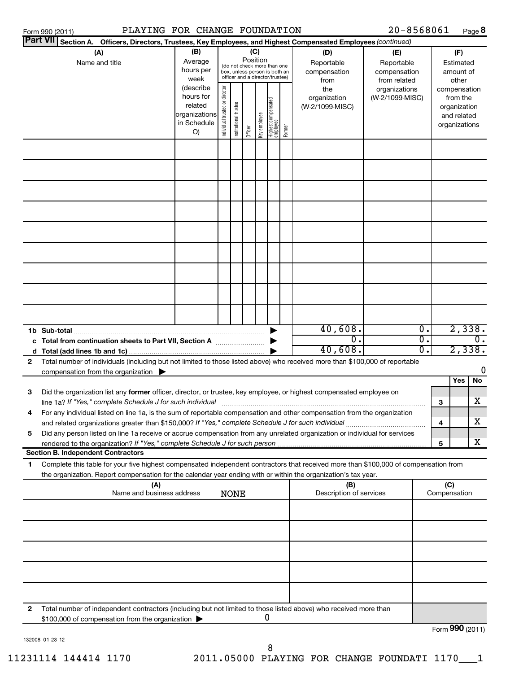|              | PLAYING FOR CHANGE FOUNDATION<br>Form 990 (2011)                                                                                                                                       |                        |                                |                       |         |              |                                                                  |        |                                | 20-8568061      |                  |                     |                             | Page 8           |
|--------------|----------------------------------------------------------------------------------------------------------------------------------------------------------------------------------------|------------------------|--------------------------------|-----------------------|---------|--------------|------------------------------------------------------------------|--------|--------------------------------|-----------------|------------------|---------------------|-----------------------------|------------------|
|              | Part VII Section A. Officers, Directors, Trustees, Key Employees, and Highest Compensated Employees (continued)                                                                        |                        |                                |                       |         |              |                                                                  |        |                                |                 |                  |                     |                             |                  |
|              | (A)                                                                                                                                                                                    | (B)                    |                                |                       | (C)     |              |                                                                  |        | (D)                            | (E)             |                  |                     | (F)                         |                  |
|              | Name and title                                                                                                                                                                         | Average                |                                |                       |         | Position     | (do not check more than one                                      |        | Reportable                     | Reportable      |                  |                     | Estimated                   |                  |
|              |                                                                                                                                                                                        | hours per              |                                |                       |         |              | box, unless person is both an<br>officer and a director/trustee) |        | compensation                   | compensation    |                  |                     | amount of                   |                  |
|              |                                                                                                                                                                                        | week                   |                                |                       |         |              |                                                                  |        | from                           | from related    |                  |                     | other                       |                  |
|              |                                                                                                                                                                                        | (describe<br>hours for |                                |                       |         |              |                                                                  |        | the                            | organizations   |                  |                     | compensation                |                  |
|              |                                                                                                                                                                                        | related                |                                |                       |         |              |                                                                  |        | organization                   | (W-2/1099-MISC) |                  |                     | from the                    |                  |
|              |                                                                                                                                                                                        | organizations          |                                |                       |         |              |                                                                  |        | (W-2/1099-MISC)                |                 |                  |                     | organization<br>and related |                  |
|              |                                                                                                                                                                                        | in Schedule            |                                |                       |         |              |                                                                  |        |                                |                 |                  |                     | organizations               |                  |
|              |                                                                                                                                                                                        | O)                     | Individual trustee or director | Institutional trustee | Officer | Key employee | Highest compensated<br>employee                                  | Former |                                |                 |                  |                     |                             |                  |
|              |                                                                                                                                                                                        |                        |                                |                       |         |              |                                                                  |        |                                |                 |                  |                     |                             |                  |
|              |                                                                                                                                                                                        |                        |                                |                       |         |              |                                                                  |        |                                |                 |                  |                     |                             |                  |
|              |                                                                                                                                                                                        |                        |                                |                       |         |              |                                                                  |        |                                |                 |                  |                     |                             |                  |
|              |                                                                                                                                                                                        |                        |                                |                       |         |              |                                                                  |        |                                |                 |                  |                     |                             |                  |
|              |                                                                                                                                                                                        |                        |                                |                       |         |              |                                                                  |        |                                |                 |                  |                     |                             |                  |
|              |                                                                                                                                                                                        |                        |                                |                       |         |              |                                                                  |        |                                |                 |                  |                     |                             |                  |
|              |                                                                                                                                                                                        |                        |                                |                       |         |              |                                                                  |        |                                |                 |                  |                     |                             |                  |
|              |                                                                                                                                                                                        |                        |                                |                       |         |              |                                                                  |        |                                |                 |                  |                     |                             |                  |
|              |                                                                                                                                                                                        |                        |                                |                       |         |              |                                                                  |        |                                |                 |                  |                     |                             |                  |
|              |                                                                                                                                                                                        |                        |                                |                       |         |              |                                                                  |        |                                |                 |                  |                     |                             |                  |
|              |                                                                                                                                                                                        |                        |                                |                       |         |              |                                                                  |        |                                |                 |                  |                     |                             |                  |
|              |                                                                                                                                                                                        |                        |                                |                       |         |              |                                                                  |        |                                |                 |                  |                     |                             |                  |
|              |                                                                                                                                                                                        |                        |                                |                       |         |              |                                                                  |        | 40,608.                        |                 | $\overline{0}$ . |                     |                             | 2,338.           |
|              | c Total from continuation sheets to Part VII, Section A                                                                                                                                |                        |                                |                       |         |              |                                                                  |        | $\overline{0}$ .               |                 | σ.               |                     |                             | $\overline{0}$ . |
|              |                                                                                                                                                                                        |                        |                                |                       |         |              |                                                                  |        | 40,608.                        |                 | σ.               |                     |                             | 2,338.           |
| $\mathbf{2}$ | Total number of individuals (including but not limited to those listed above) who received more than \$100,000 of reportable                                                           |                        |                                |                       |         |              |                                                                  |        |                                |                 |                  |                     |                             |                  |
|              | compensation from the organization $\blacktriangleright$                                                                                                                               |                        |                                |                       |         |              |                                                                  |        |                                |                 |                  |                     |                             | 0                |
|              |                                                                                                                                                                                        |                        |                                |                       |         |              |                                                                  |        |                                |                 |                  |                     | Yes                         | No               |
| З            | Did the organization list any former officer, director, or trustee, key employee, or highest compensated employee on                                                                   |                        |                                |                       |         |              |                                                                  |        |                                |                 |                  |                     |                             |                  |
| 4            | line 1a? If "Yes," complete Schedule J for such individual<br>For any individual listed on line 1a, is the sum of reportable compensation and other compensation from the organization |                        |                                |                       |         |              |                                                                  |        |                                |                 |                  | 3                   |                             | x                |
|              | and related organizations greater than \$150,000? If "Yes," complete Schedule J for such individual                                                                                    |                        |                                |                       |         |              |                                                                  |        |                                |                 |                  | 4                   |                             | х                |
| 5            | Did any person listed on line 1a receive or accrue compensation from any unrelated organization or individual for services                                                             |                        |                                |                       |         |              |                                                                  |        |                                |                 |                  |                     |                             |                  |
|              | <b>Section B. Independent Contractors</b>                                                                                                                                              |                        |                                |                       |         |              |                                                                  |        |                                |                 |                  | 5                   |                             | x                |
| 1            | Complete this table for your five highest compensated independent contractors that received more than \$100,000 of compensation from                                                   |                        |                                |                       |         |              |                                                                  |        |                                |                 |                  |                     |                             |                  |
|              | the organization. Report compensation for the calendar year ending with or within the organization's tax year.                                                                         |                        |                                |                       |         |              |                                                                  |        |                                |                 |                  |                     |                             |                  |
|              | (A)<br>Name and business address                                                                                                                                                       |                        |                                | <b>NONE</b>           |         |              |                                                                  |        | (B)<br>Description of services |                 |                  | (C)<br>Compensation |                             |                  |
|              |                                                                                                                                                                                        |                        |                                |                       |         |              |                                                                  |        |                                |                 |                  |                     |                             |                  |
|              |                                                                                                                                                                                        |                        |                                |                       |         |              |                                                                  |        |                                |                 |                  |                     |                             |                  |
|              |                                                                                                                                                                                        |                        |                                |                       |         |              |                                                                  |        |                                |                 |                  |                     |                             |                  |
|              |                                                                                                                                                                                        |                        |                                |                       |         |              |                                                                  |        |                                |                 |                  |                     |                             |                  |
|              |                                                                                                                                                                                        |                        |                                |                       |         |              |                                                                  |        |                                |                 |                  |                     |                             |                  |
|              |                                                                                                                                                                                        |                        |                                |                       |         |              |                                                                  |        |                                |                 |                  |                     |                             |                  |
| 2            | Total number of independent contractors (including but not limited to those listed above) who received more than                                                                       |                        |                                |                       |         |              |                                                                  |        |                                |                 |                  |                     |                             |                  |
|              | \$100,000 of compensation from the organization >                                                                                                                                      |                        |                                |                       |         |              | 0                                                                |        |                                |                 |                  |                     |                             |                  |

Form (2011) **990**

132008 01-23-12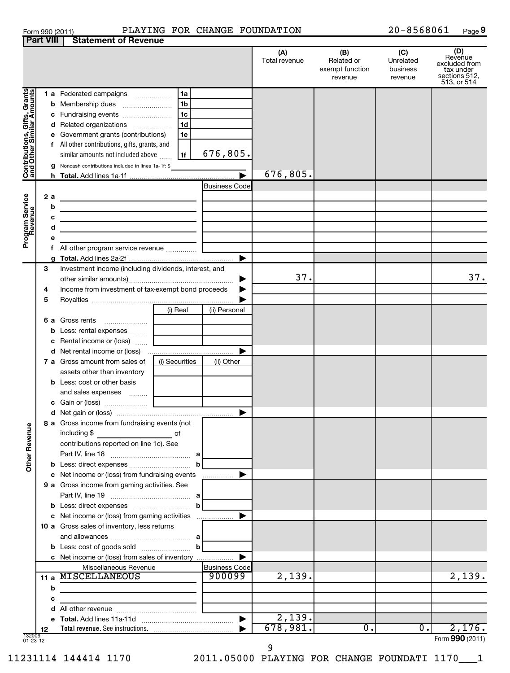| Form 990 (2011) |  |
|-----------------|--|
| Dart VIII       |  |

### Form 990 (2011)  $PLAYING FOR CHANGE FOUNDATION$  20-8568061  $Page$

20-8568061 Page 9

|                                                             | Part VIII | Statement of Revenue                                                                                                  |                      |                      |                                                 |                                         |                                                                              |
|-------------------------------------------------------------|-----------|-----------------------------------------------------------------------------------------------------------------------|----------------------|----------------------|-------------------------------------------------|-----------------------------------------|------------------------------------------------------------------------------|
|                                                             |           |                                                                                                                       |                      | (A)<br>Total revenue | (B)<br>Related or<br>exempt function<br>revenue | (C)<br>Unrelated<br>business<br>revenue | (D)<br>Revenue<br>excluded from<br>tax under<br>sections 512,<br>513, or 514 |
|                                                             |           | <b>1 a</b> Federated campaigns<br>.                                                                                   | 1a                   |                      |                                                 |                                         |                                                                              |
|                                                             |           | <b>b</b> Membership dues                                                                                              | 1 <sub>b</sub>       |                      |                                                 |                                         |                                                                              |
|                                                             |           |                                                                                                                       |                      |                      |                                                 |                                         |                                                                              |
|                                                             |           | c Fundraising events                                                                                                  | 1 <sub>c</sub>       |                      |                                                 |                                         |                                                                              |
|                                                             |           | d Related organizations                                                                                               | 1 <sub>d</sub>       |                      |                                                 |                                         |                                                                              |
| Contributions, Gifts, Grants<br>  and Other Similar Amounts |           | e Government grants (contributions)                                                                                   | 1e                   |                      |                                                 |                                         |                                                                              |
|                                                             |           | f All other contributions, gifts, grants, and                                                                         |                      |                      |                                                 |                                         |                                                                              |
|                                                             |           | similar amounts not included above                                                                                    | 676,805.<br>1f       |                      |                                                 |                                         |                                                                              |
|                                                             |           | <b>g</b> Noncash contributions included in lines 1a-1f: \$                                                            |                      |                      |                                                 |                                         |                                                                              |
|                                                             |           |                                                                                                                       |                      | 676,805.             |                                                 |                                         |                                                                              |
|                                                             |           |                                                                                                                       |                      |                      |                                                 |                                         |                                                                              |
|                                                             |           |                                                                                                                       | <b>Business Code</b> |                      |                                                 |                                         |                                                                              |
|                                                             | 2 a       |                                                                                                                       |                      |                      |                                                 |                                         |                                                                              |
|                                                             | b         | <u> 1989 - Johann Stein, mars an de Francisco (f. 1989)</u>                                                           |                      |                      |                                                 |                                         |                                                                              |
|                                                             | с         | <u> 1989 - Johann Stein, mars an de Francisco (f. 1989)</u>                                                           |                      |                      |                                                 |                                         |                                                                              |
|                                                             | d         |                                                                                                                       |                      |                      |                                                 |                                         |                                                                              |
|                                                             |           | the control of the control of the control of the control of the control of the control of                             |                      |                      |                                                 |                                         |                                                                              |
| Program Service<br>Revenue                                  |           |                                                                                                                       |                      |                      |                                                 |                                         |                                                                              |
|                                                             |           | f All other program service revenue                                                                                   |                      |                      |                                                 |                                         |                                                                              |
|                                                             |           |                                                                                                                       |                      |                      |                                                 |                                         |                                                                              |
|                                                             | з         | Investment income (including dividends, interest, and                                                                 |                      |                      |                                                 |                                         |                                                                              |
|                                                             |           |                                                                                                                       |                      | 37.                  |                                                 |                                         | 37.                                                                          |
|                                                             | 4         | Income from investment of tax-exempt bond proceeds                                                                    |                      |                      |                                                 |                                         |                                                                              |
|                                                             | 5         |                                                                                                                       |                      |                      |                                                 |                                         |                                                                              |
|                                                             |           | (i) Real                                                                                                              | (ii) Personal        |                      |                                                 |                                         |                                                                              |
|                                                             |           |                                                                                                                       |                      |                      |                                                 |                                         |                                                                              |
|                                                             |           | <b>6 a</b> Gross rents                                                                                                |                      |                      |                                                 |                                         |                                                                              |
|                                                             |           | <b>b</b> Less: rental expenses                                                                                        |                      |                      |                                                 |                                         |                                                                              |
|                                                             |           | c Rental income or (loss)                                                                                             |                      |                      |                                                 |                                         |                                                                              |
|                                                             |           |                                                                                                                       |                      |                      |                                                 |                                         |                                                                              |
|                                                             |           | <b>7 a</b> Gross amount from sales of<br>(i) Securities                                                               | (ii) Other           |                      |                                                 |                                         |                                                                              |
|                                                             |           | assets other than inventory                                                                                           |                      |                      |                                                 |                                         |                                                                              |
|                                                             |           |                                                                                                                       |                      |                      |                                                 |                                         |                                                                              |
|                                                             |           | <b>b</b> Less: cost or other basis                                                                                    |                      |                      |                                                 |                                         |                                                                              |
|                                                             |           | and sales expenses                                                                                                    |                      |                      |                                                 |                                         |                                                                              |
|                                                             |           |                                                                                                                       |                      |                      |                                                 |                                         |                                                                              |
|                                                             |           |                                                                                                                       | ▶                    |                      |                                                 |                                         |                                                                              |
|                                                             |           | <b>8 a</b> Gross income from fundraising events (not                                                                  |                      |                      |                                                 |                                         |                                                                              |
| <b>Other Revenue</b>                                        |           | including \$                                                                                                          |                      |                      |                                                 |                                         |                                                                              |
|                                                             |           | contributions reported on line 1c). See                                                                               |                      |                      |                                                 |                                         |                                                                              |
|                                                             |           |                                                                                                                       |                      |                      |                                                 |                                         |                                                                              |
|                                                             |           |                                                                                                                       |                      |                      |                                                 |                                         |                                                                              |
|                                                             |           |                                                                                                                       | b                    |                      |                                                 |                                         |                                                                              |
|                                                             |           | c Net income or (loss) from fundraising events                                                                        | .                    |                      |                                                 |                                         |                                                                              |
|                                                             |           | 9 a Gross income from gaming activities. See                                                                          |                      |                      |                                                 |                                         |                                                                              |
|                                                             |           |                                                                                                                       |                      |                      |                                                 |                                         |                                                                              |
|                                                             |           |                                                                                                                       | b                    |                      |                                                 |                                         |                                                                              |
|                                                             |           | c Net income or (loss) from gaming activities                                                                         |                      |                      |                                                 |                                         |                                                                              |
|                                                             |           | 10 a Gross sales of inventory, less returns                                                                           |                      |                      |                                                 |                                         |                                                                              |
|                                                             |           |                                                                                                                       |                      |                      |                                                 |                                         |                                                                              |
|                                                             |           |                                                                                                                       |                      |                      |                                                 |                                         |                                                                              |
|                                                             |           |                                                                                                                       | b                    |                      |                                                 |                                         |                                                                              |
|                                                             |           | c Net income or (loss) from sales of inventory                                                                        |                      |                      |                                                 |                                         |                                                                              |
|                                                             |           | Miscellaneous Revenue                                                                                                 | <b>Business Code</b> |                      |                                                 |                                         |                                                                              |
|                                                             |           | 11 a MISCELLANEOUS                                                                                                    | 900099               | 2,139.               |                                                 |                                         | 2,139.                                                                       |
|                                                             | b         | <u> 1980 - John Stein, mars and der Stein and der Stein and der Stein and der Stein and der Stein and der Stein a</u> |                      |                      |                                                 |                                         |                                                                              |
|                                                             | c         |                                                                                                                       |                      |                      |                                                 |                                         |                                                                              |
|                                                             |           |                                                                                                                       |                      |                      |                                                 |                                         |                                                                              |
|                                                             |           |                                                                                                                       |                      | 2,139.               |                                                 |                                         |                                                                              |
|                                                             |           |                                                                                                                       |                      |                      |                                                 |                                         |                                                                              |
| 132009                                                      | 12        |                                                                                                                       |                      | 678,981.             | 0.                                              | $0$ .                                   | 2,176.                                                                       |
| $01 - 23 - 12$                                              |           |                                                                                                                       |                      |                      |                                                 |                                         | Form 990 (2011)                                                              |

9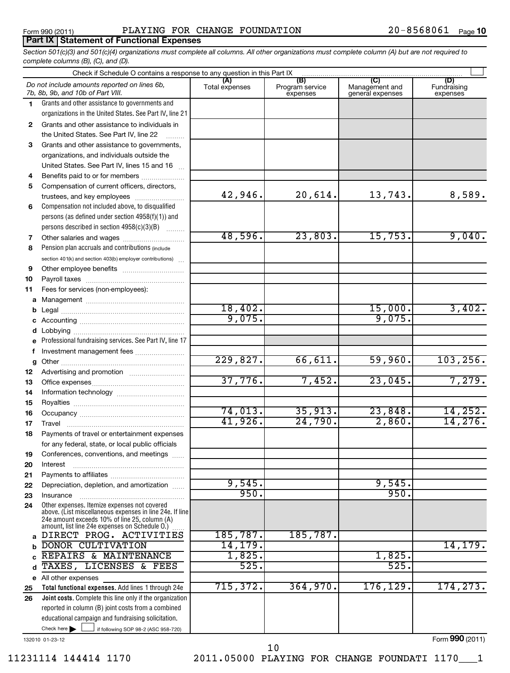# **Part IX Statement of Functional Expenses**

*Section 501(c)(3) and 501(c)(4) organizations must complete all columns. All other organizations must complete column (A) but are not required to complete columns (B), (C), and (D).*

|          | Check if Schedule O contains a response to any question in this Part IX [11] manufactured in the Schedule O contains a response to any question in this Part IX [11] manufactured in the Schedule O contains and the Schedule |                       |                                    |                                                      |                                |
|----------|-------------------------------------------------------------------------------------------------------------------------------------------------------------------------------------------------------------------------------|-----------------------|------------------------------------|------------------------------------------------------|--------------------------------|
|          | Do not include amounts reported on lines 6b,<br>7b, 8b, 9b, and 10b of Part VIII.                                                                                                                                             | (A)<br>Total expenses | (B)<br>Program service<br>expenses | $\overline{C}$<br>Management and<br>general expenses | (D)<br>Fundraising<br>expenses |
| 1.       | Grants and other assistance to governments and                                                                                                                                                                                |                       |                                    |                                                      |                                |
|          | organizations in the United States. See Part IV, line 21                                                                                                                                                                      |                       |                                    |                                                      |                                |
| 2        | Grants and other assistance to individuals in                                                                                                                                                                                 |                       |                                    |                                                      |                                |
|          | the United States. See Part IV, line 22                                                                                                                                                                                       |                       |                                    |                                                      |                                |
| 3        | Grants and other assistance to governments,                                                                                                                                                                                   |                       |                                    |                                                      |                                |
|          | organizations, and individuals outside the                                                                                                                                                                                    |                       |                                    |                                                      |                                |
|          | United States. See Part IV, lines 15 and 16                                                                                                                                                                                   |                       |                                    |                                                      |                                |
| 4        | Benefits paid to or for members                                                                                                                                                                                               |                       |                                    |                                                      |                                |
| 5        | Compensation of current officers, directors,                                                                                                                                                                                  |                       |                                    |                                                      |                                |
|          | trustees, and key employees                                                                                                                                                                                                   | 42,946.               | 20,614.                            | 13,743.                                              | 8,589.                         |
| 6        | Compensation not included above, to disqualified                                                                                                                                                                              |                       |                                    |                                                      |                                |
|          | persons (as defined under section 4958(f)(1)) and                                                                                                                                                                             |                       |                                    |                                                      |                                |
|          | persons described in section 4958(c)(3)(B)                                                                                                                                                                                    |                       |                                    |                                                      |                                |
| 7        | Other salaries and wages                                                                                                                                                                                                      | 48,596.               | 23,803.                            | 15,753.                                              | 9,040.                         |
| 8        | Pension plan accruals and contributions (include                                                                                                                                                                              |                       |                                    |                                                      |                                |
|          | section 401(k) and section 403(b) employer contributions)                                                                                                                                                                     |                       |                                    |                                                      |                                |
| 9        |                                                                                                                                                                                                                               |                       |                                    |                                                      |                                |
| 10       |                                                                                                                                                                                                                               |                       |                                    |                                                      |                                |
| 11       | Fees for services (non-employees):                                                                                                                                                                                            |                       |                                    |                                                      |                                |
| a        |                                                                                                                                                                                                                               |                       |                                    |                                                      |                                |
| b        |                                                                                                                                                                                                                               | 18,402.<br>9,075.     |                                    | 15,000.                                              | 3,402.                         |
| c        |                                                                                                                                                                                                                               |                       |                                    | 9,075.                                               |                                |
| d        |                                                                                                                                                                                                                               |                       |                                    |                                                      |                                |
| e        | Professional fundraising services. See Part IV, line 17                                                                                                                                                                       |                       |                                    |                                                      |                                |
| f        | Investment management fees                                                                                                                                                                                                    |                       |                                    |                                                      |                                |
| g        |                                                                                                                                                                                                                               | 229,827.              | 66,611.                            | 59,960.                                              | 103, 256.                      |
| 12       |                                                                                                                                                                                                                               | 37,776.               |                                    |                                                      | 7,279.                         |
| 13       |                                                                                                                                                                                                                               |                       | 7,452.                             | 23,045.                                              |                                |
| 14       |                                                                                                                                                                                                                               |                       |                                    |                                                      |                                |
| 15       |                                                                                                                                                                                                                               | 74,013.               | 35,913.                            | 23,848.                                              |                                |
| 16       |                                                                                                                                                                                                                               | 41,926.               | 24,790.                            | 2,860.                                               | 14, 252.<br>14,276.            |
| 17       | Travel                                                                                                                                                                                                                        |                       |                                    |                                                      |                                |
| 18       | Payments of travel or entertainment expenses                                                                                                                                                                                  |                       |                                    |                                                      |                                |
|          | for any federal, state, or local public officials                                                                                                                                                                             |                       |                                    |                                                      |                                |
| 19       | Conferences, conventions, and meetings                                                                                                                                                                                        |                       |                                    |                                                      |                                |
| 20       | Interest                                                                                                                                                                                                                      |                       |                                    |                                                      |                                |
| 21       |                                                                                                                                                                                                                               | 9,545.                |                                    | 9,545.                                               |                                |
| 22       | Depreciation, depletion, and amortization                                                                                                                                                                                     | 950.                  |                                    | 950.                                                 |                                |
| 23<br>24 | Insurance<br>Other expenses. Itemize expenses not covered                                                                                                                                                                     |                       |                                    |                                                      |                                |
|          | above. (List miscellaneous expenses in line 24e. If line                                                                                                                                                                      |                       |                                    |                                                      |                                |
|          | 24e amount exceeds 10% of line 25, column (A)<br>amount, list line 24e expenses on Schedule O.)                                                                                                                               |                       |                                    |                                                      |                                |
|          | a DIRECT PROG. ACTIVITIES                                                                                                                                                                                                     | 185,787.              | 185,787.                           |                                                      |                                |
| b        | <b>DONOR CULTIVATION</b>                                                                                                                                                                                                      | 14, 179.              |                                    |                                                      | 14,179.                        |
| C        | REPAIRS & MAINTENANCE                                                                                                                                                                                                         | 1,825.                |                                    | 1,825.                                               |                                |
| d        | TAXES, LICENSES & FEES                                                                                                                                                                                                        | 525.                  |                                    | 525.                                                 |                                |
| е        | All other expenses                                                                                                                                                                                                            |                       |                                    |                                                      |                                |
| 25       | Total functional expenses. Add lines 1 through 24e                                                                                                                                                                            | 715, 372.             | 364,970.                           | 176,129.                                             | 174,273.                       |
| 26       | Joint costs. Complete this line only if the organization                                                                                                                                                                      |                       |                                    |                                                      |                                |
|          | reported in column (B) joint costs from a combined                                                                                                                                                                            |                       |                                    |                                                      |                                |
|          | educational campaign and fundraising solicitation.                                                                                                                                                                            |                       |                                    |                                                      |                                |
|          | Check here $\blacktriangleright$<br>if following SOP 98-2 (ASC 958-720)                                                                                                                                                       |                       |                                    |                                                      |                                |
|          | 132010 01-23-12                                                                                                                                                                                                               |                       |                                    |                                                      | Form 990 (2011)                |

132010 01-23-12

11231114 144414 1170 2011.05000 PLAYING FOR CHANGE FOUNDATI 1170\_\_\_1 10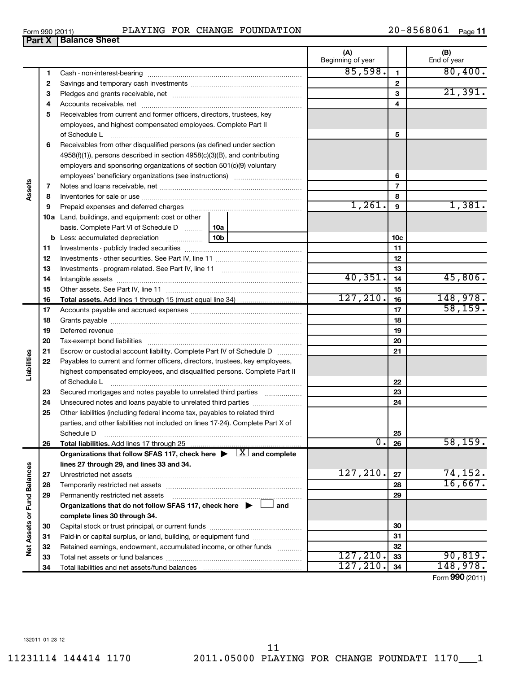| PLAYING FOR CHANGE FOUNDATION |  |  |  |  |
|-------------------------------|--|--|--|--|
|-------------------------------|--|--|--|--|

| Form 990 (2011) |                         | PLAYING | FOR | CHANGE | FOUNDATION | ົດ – | 8568061 | Page |
|-----------------|-------------------------|---------|-----|--------|------------|------|---------|------|
| <b>Part X</b>   | <b>Balance</b><br>Sheet |         |     |        |            |      |         |      |
|                 |                         |         |     |        |            |      |         |      |

|                             |              |                                                                                                                                                                                                                                |         | (A)<br>Beginning of year |                 | (B)<br>End of year |
|-----------------------------|--------------|--------------------------------------------------------------------------------------------------------------------------------------------------------------------------------------------------------------------------------|---------|--------------------------|-----------------|--------------------|
|                             | $\mathbf{1}$ |                                                                                                                                                                                                                                |         | 85,598.                  | 1               | 80,400.            |
|                             | 2            |                                                                                                                                                                                                                                |         |                          | $\mathbf{2}$    |                    |
|                             | з            |                                                                                                                                                                                                                                |         | 3                        | 21,391.         |                    |
|                             | 4            |                                                                                                                                                                                                                                |         | 4                        |                 |                    |
|                             | 5            | Receivables from current and former officers, directors, trustees, key                                                                                                                                                         |         |                          |                 |                    |
|                             |              | employees, and highest compensated employees. Complete Part II                                                                                                                                                                 |         |                          |                 |                    |
|                             |              | of Schedule L                                                                                                                                                                                                                  |         | 5                        |                 |                    |
|                             | 6            | Receivables from other disqualified persons (as defined under section                                                                                                                                                          |         |                          |                 |                    |
|                             |              | 4958(f)(1)), persons described in section 4958(c)(3)(B), and contributing                                                                                                                                                      |         |                          |                 |                    |
|                             |              | employers and sponsoring organizations of section 501(c)(9) voluntary                                                                                                                                                          |         |                          |                 |                    |
|                             |              |                                                                                                                                                                                                                                |         |                          | 6               |                    |
|                             | 7            |                                                                                                                                                                                                                                |         |                          | $\overline{7}$  |                    |
| Assets                      | 8            |                                                                                                                                                                                                                                |         |                          | 8               |                    |
|                             | 9            | Prepaid expenses and deferred charges [11] [11] Prepaid expenses and deferred charges [11] [11] Martin Martin (11] (11] Martin Martin (11] Martin Martin Martin Martin Martin Martin Martin Martin Martin Martin Martin Martin |         | 1,261.                   | 9               | 1,381.             |
|                             |              | <b>10a</b> Land, buildings, and equipment: cost or other                                                                                                                                                                       |         |                          |                 |                    |
|                             |              | basis. Complete Part VI of Schedule D  10a                                                                                                                                                                                     |         |                          |                 |                    |
|                             |              |                                                                                                                                                                                                                                |         |                          | 10 <sub>c</sub> |                    |
|                             | 11           |                                                                                                                                                                                                                                |         | 11                       |                 |                    |
|                             | 12           |                                                                                                                                                                                                                                |         | 12                       |                 |                    |
|                             | 13           |                                                                                                                                                                                                                                |         | 13                       |                 |                    |
|                             | 14           |                                                                                                                                                                                                                                | 40,351. | 14                       | 45,806.         |                    |
|                             | 15           |                                                                                                                                                                                                                                |         | 15                       |                 |                    |
|                             | 16           | <b>Total assets.</b> Add lines 1 through 15 (must equal line 34) <i></i>                                                                                                                                                       |         | 127, 210.                | 16              | 148,978.           |
|                             | 17           |                                                                                                                                                                                                                                |         | 17                       | 58, 159.        |                    |
|                             | 18           |                                                                                                                                                                                                                                |         | 18                       |                 |                    |
|                             | 19           |                                                                                                                                                                                                                                |         | 19                       |                 |                    |
|                             | 20           |                                                                                                                                                                                                                                |         |                          | 20              |                    |
|                             | 21           | Escrow or custodial account liability. Complete Part IV of Schedule D                                                                                                                                                          |         |                          | 21              |                    |
|                             | 22           | Payables to current and former officers, directors, trustees, key employees,                                                                                                                                                   |         |                          |                 |                    |
| Liabilities                 |              | highest compensated employees, and disqualified persons. Complete Part II                                                                                                                                                      |         |                          |                 |                    |
|                             |              | of Schedule L                                                                                                                                                                                                                  |         |                          | 22              |                    |
|                             | 23           | Secured mortgages and notes payable to unrelated third parties <i>manumum</i>                                                                                                                                                  |         |                          | 23              |                    |
|                             | 24           |                                                                                                                                                                                                                                |         |                          | 24              |                    |
|                             | 25           | Other liabilities (including federal income tax, payables to related third                                                                                                                                                     |         |                          |                 |                    |
|                             |              | parties, and other liabilities not included on lines 17-24). Complete Part X of                                                                                                                                                |         |                          |                 |                    |
|                             |              | Schedule D                                                                                                                                                                                                                     |         |                          | 25              |                    |
|                             | 26           | Total liabilities. Add lines 17 through 25                                                                                                                                                                                     |         | σ.                       | 26              | 58, 159.           |
|                             |              | Organizations that follow SFAS 117, check here $\blacktriangleright \Box X$ and complete                                                                                                                                       |         |                          |                 |                    |
|                             |              | lines 27 through 29, and lines 33 and 34.                                                                                                                                                                                      |         |                          |                 |                    |
|                             | 27           |                                                                                                                                                                                                                                |         | 127,210.                 | 27              | 74,152.            |
|                             | 28           |                                                                                                                                                                                                                                |         |                          | 28              | 16,667.            |
|                             | 29           | Permanently restricted net assets                                                                                                                                                                                              |         |                          | 29              |                    |
|                             |              | Organizations that do not follow SFAS 117, check here $\blacktriangleright$                                                                                                                                                    | and     |                          |                 |                    |
|                             |              | complete lines 30 through 34.                                                                                                                                                                                                  |         |                          |                 |                    |
|                             | 30           |                                                                                                                                                                                                                                |         |                          | 30              |                    |
| Net Assets or Fund Balances | 31           | Paid-in or capital surplus, or land, building, or equipment fund                                                                                                                                                               |         |                          | 31              |                    |
|                             | 32           | Retained earnings, endowment, accumulated income, or other funds                                                                                                                                                               |         | 127, 210.                | 32              | 90, 819.           |
|                             | 33           |                                                                                                                                                                                                                                |         | 127, 210.                | 33              | 148,978.           |
|                             | 34           |                                                                                                                                                                                                                                |         |                          | 34              |                    |

Form (2011) **990**

# **Part X** |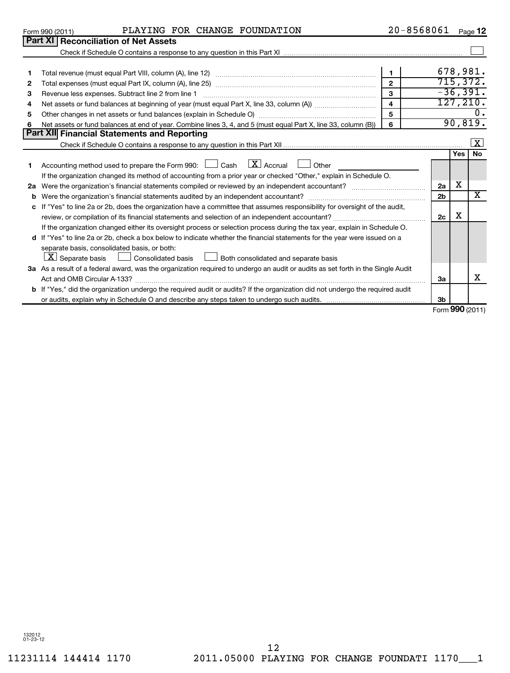|    | PLAYING FOR CHANGE FOUNDATION<br>Form 990 (2011)                                                                                     | 20-8568061              |                 |     | Page $12$               |
|----|--------------------------------------------------------------------------------------------------------------------------------------|-------------------------|-----------------|-----|-------------------------|
|    | <b>Part XI Reconciliation of Net Assets</b>                                                                                          |                         |                 |     |                         |
|    |                                                                                                                                      |                         |                 |     |                         |
|    |                                                                                                                                      |                         |                 |     |                         |
| 1  |                                                                                                                                      | $\mathbf{1}$            |                 |     | 678,981.                |
| 2  |                                                                                                                                      |                         |                 |     | 715, 372.               |
| З  |                                                                                                                                      | 3                       |                 |     | $-36,391.$              |
| 4  |                                                                                                                                      | $\overline{\mathbf{4}}$ |                 |     | 127, 210.               |
| 5  |                                                                                                                                      | 5                       |                 |     | 0.                      |
| 6  | Net assets or fund balances at end of year. Combine lines 3, 4, and 5 (must equal Part X, line 33, column (B))                       | 6                       |                 |     | 90,819.                 |
|    | Part XII Financial Statements and Reporting                                                                                          |                         |                 |     |                         |
|    |                                                                                                                                      |                         |                 |     | $\overline{\mathbf{x}}$ |
|    |                                                                                                                                      |                         |                 | Yes | <b>No</b>               |
| 1  | $\lfloor \underline{X} \rfloor$ Accrual<br>Accounting method used to prepare the Form 990: $\Box$ Cash<br>Other                      |                         |                 |     |                         |
|    | If the organization changed its method of accounting from a prior year or checked "Other," explain in Schedule O.                    |                         |                 |     |                         |
| 2a | Were the organization's financial statements compiled or reviewed by an independent accountant?                                      |                         | 2a              | X   |                         |
| b  | Were the organization's financial statements audited by an independent accountant?                                                   |                         | 2 <sub>b</sub>  |     | $\overline{\mathtt{x}}$ |
| с  | If "Yes" to line 2a or 2b, does the organization have a committee that assumes responsibility for oversight of the audit,            |                         |                 |     |                         |
|    |                                                                                                                                      |                         | 2c              | x   |                         |
|    | If the organization changed either its oversight process or selection process during the tax year, explain in Schedule O.            |                         |                 |     |                         |
|    | d If "Yes" to line 2a or 2b, check a box below to indicate whether the financial statements for the year were issued on a            |                         |                 |     |                         |
|    | separate basis, consolidated basis, or both:                                                                                         |                         |                 |     |                         |
|    | $\lfloor \underline{X} \rfloor$ Separate basis<br>Both consolidated and separate basis<br>Consolidated basis                         |                         |                 |     |                         |
|    | 3a As a result of a federal award, was the organization required to undergo an audit or audits as set forth in the Single Audit      |                         |                 |     |                         |
|    | Act and OMB Circular A-133?                                                                                                          |                         | За              |     | x                       |
|    | <b>b</b> If "Yes," did the organization undergo the required audit or audits? If the organization did not undergo the required audit |                         |                 |     |                         |
|    |                                                                                                                                      |                         | 3 <sub>b</sub>  |     |                         |
|    |                                                                                                                                      |                         | Form 990 (2011) |     |                         |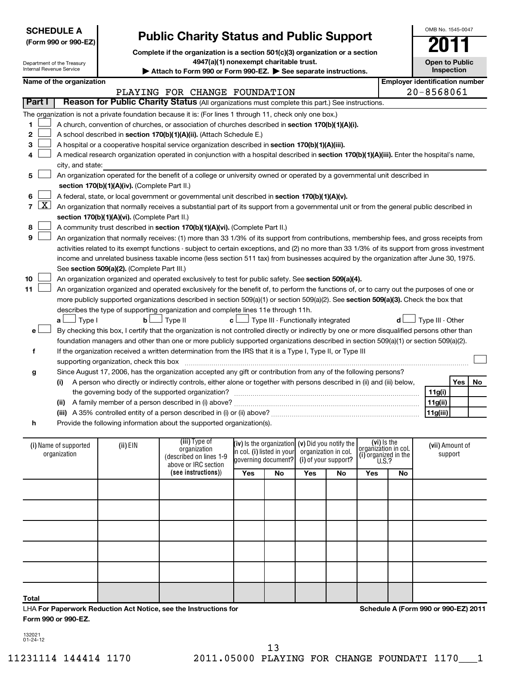| <b>SCHEDULE A</b>                                                   |                                                                                                                                                                            |                                                 |                                                                                                                                               |                                               |                                                   |                      |  |                                     |  | OMB No. 1545-0047                     |            |    |
|---------------------------------------------------------------------|----------------------------------------------------------------------------------------------------------------------------------------------------------------------------|-------------------------------------------------|-----------------------------------------------------------------------------------------------------------------------------------------------|-----------------------------------------------|---------------------------------------------------|----------------------|--|-------------------------------------|--|---------------------------------------|------------|----|
|                                                                     | (Form 990 or 990-EZ)                                                                                                                                                       | <b>Public Charity Status and Public Support</b> |                                                                                                                                               |                                               |                                                   |                      |  |                                     |  |                                       |            |    |
|                                                                     |                                                                                                                                                                            |                                                 | Complete if the organization is a section 501(c)(3) organization or a section                                                                 |                                               |                                                   |                      |  |                                     |  |                                       |            |    |
|                                                                     | Department of the Treasury                                                                                                                                                 |                                                 | 4947(a)(1) nonexempt charitable trust.                                                                                                        |                                               |                                                   |                      |  |                                     |  | <b>Open to Public</b>                 |            |    |
| <b>Internal Revenue Service</b>                                     |                                                                                                                                                                            |                                                 | Attach to Form 990 or Form 990-EZ. > See separate instructions.                                                                               |                                               |                                                   |                      |  |                                     |  |                                       | Inspection |    |
|                                                                     | Name of the organization                                                                                                                                                   |                                                 |                                                                                                                                               |                                               |                                                   |                      |  |                                     |  | <b>Employer identification number</b> |            |    |
|                                                                     |                                                                                                                                                                            |                                                 | PLAYING FOR CHANGE FOUNDATION                                                                                                                 |                                               |                                                   |                      |  |                                     |  | $20 - 8568061$                        |            |    |
| <b>Part I</b>                                                       |                                                                                                                                                                            |                                                 | Reason for Public Charity Status (All organizations must complete this part.) See instructions.                                               |                                               |                                                   |                      |  |                                     |  |                                       |            |    |
|                                                                     |                                                                                                                                                                            |                                                 | The organization is not a private foundation because it is: (For lines 1 through 11, check only one box.)                                     |                                               |                                                   |                      |  |                                     |  |                                       |            |    |
|                                                                     |                                                                                                                                                                            |                                                 |                                                                                                                                               |                                               |                                                   |                      |  |                                     |  |                                       |            |    |
| 1                                                                   | A church, convention of churches, or association of churches described in section 170(b)(1)(A)(i).<br>A school described in section 170(b)(1)(A)(ii). (Attach Schedule E.) |                                                 |                                                                                                                                               |                                               |                                                   |                      |  |                                     |  |                                       |            |    |
| 2                                                                   |                                                                                                                                                                            |                                                 |                                                                                                                                               |                                               |                                                   |                      |  |                                     |  |                                       |            |    |
| 3                                                                   | A hospital or a cooperative hospital service organization described in section 170(b)(1)(A)(iii).                                                                          |                                                 |                                                                                                                                               |                                               |                                                   |                      |  |                                     |  |                                       |            |    |
|                                                                     | A medical research organization operated in conjunction with a hospital described in section 170(b)(1)(A)(iii). Enter the hospital's name,                                 |                                                 |                                                                                                                                               |                                               |                                                   |                      |  |                                     |  |                                       |            |    |
|                                                                     | city, and state:                                                                                                                                                           |                                                 |                                                                                                                                               |                                               |                                                   |                      |  |                                     |  |                                       |            |    |
| 5                                                                   |                                                                                                                                                                            |                                                 | An organization operated for the benefit of a college or university owned or operated by a governmental unit described in                     |                                               |                                                   |                      |  |                                     |  |                                       |            |    |
|                                                                     |                                                                                                                                                                            | section 170(b)(1)(A)(iv). (Complete Part II.)   |                                                                                                                                               |                                               |                                                   |                      |  |                                     |  |                                       |            |    |
| 6                                                                   |                                                                                                                                                                            |                                                 | A federal, state, or local government or governmental unit described in section 170(b)(1)(A)(v).                                              |                                               |                                                   |                      |  |                                     |  |                                       |            |    |
| <u>x  </u><br>7                                                     |                                                                                                                                                                            |                                                 | An organization that normally receives a substantial part of its support from a governmental unit or from the general public described in     |                                               |                                                   |                      |  |                                     |  |                                       |            |    |
|                                                                     |                                                                                                                                                                            | section 170(b)(1)(A)(vi). (Complete Part II.)   |                                                                                                                                               |                                               |                                                   |                      |  |                                     |  |                                       |            |    |
| 8                                                                   |                                                                                                                                                                            |                                                 | A community trust described in section 170(b)(1)(A)(vi). (Complete Part II.)                                                                  |                                               |                                                   |                      |  |                                     |  |                                       |            |    |
| 9                                                                   |                                                                                                                                                                            |                                                 | An organization that normally receives: (1) more than 33 1/3% of its support from contributions, membership fees, and gross receipts from     |                                               |                                                   |                      |  |                                     |  |                                       |            |    |
|                                                                     |                                                                                                                                                                            |                                                 | activities related to its exempt functions - subject to certain exceptions, and (2) no more than 33 1/3% of its support from gross investment |                                               |                                                   |                      |  |                                     |  |                                       |            |    |
|                                                                     |                                                                                                                                                                            |                                                 | income and unrelated business taxable income (less section 511 tax) from businesses acquired by the organization after June 30, 1975.         |                                               |                                                   |                      |  |                                     |  |                                       |            |    |
|                                                                     |                                                                                                                                                                            | See section 509(a)(2). (Complete Part III.)     |                                                                                                                                               |                                               |                                                   |                      |  |                                     |  |                                       |            |    |
| 10                                                                  |                                                                                                                                                                            |                                                 | An organization organized and operated exclusively to test for public safety. See section 509(a)(4).                                          |                                               |                                                   |                      |  |                                     |  |                                       |            |    |
| 11                                                                  |                                                                                                                                                                            |                                                 | An organization organized and operated exclusively for the benefit of, to perform the functions of, or to carry out the purposes of one or    |                                               |                                                   |                      |  |                                     |  |                                       |            |    |
|                                                                     |                                                                                                                                                                            |                                                 | more publicly supported organizations described in section 509(a)(1) or section 509(a)(2). See section 509(a)(3). Check the box that          |                                               |                                                   |                      |  |                                     |  |                                       |            |    |
|                                                                     |                                                                                                                                                                            |                                                 | describes the type of supporting organization and complete lines 11e through 11h.                                                             |                                               |                                                   |                      |  |                                     |  |                                       |            |    |
|                                                                     | $\perp$ Type I<br>a L                                                                                                                                                      | $\mathbf b$                                     | 」Type II                                                                                                                                      | $c$ $\Box$ Type III - Functionally integrated |                                                   |                      |  |                                     |  | Type III - Other                      |            |    |
| е                                                                   |                                                                                                                                                                            |                                                 | By checking this box, I certify that the organization is not controlled directly or indirectly by one or more disqualified persons other than |                                               |                                                   |                      |  |                                     |  |                                       |            |    |
|                                                                     |                                                                                                                                                                            |                                                 | foundation managers and other than one or more publicly supported organizations described in section 509(a)(1) or section 509(a)(2).          |                                               |                                                   |                      |  |                                     |  |                                       |            |    |
| f                                                                   |                                                                                                                                                                            |                                                 | If the organization received a written determination from the IRS that it is a Type I, Type II, or Type III                                   |                                               |                                                   |                      |  |                                     |  |                                       |            |    |
|                                                                     |                                                                                                                                                                            | supporting organization, check this box         |                                                                                                                                               |                                               |                                                   |                      |  |                                     |  |                                       |            |    |
| g                                                                   |                                                                                                                                                                            |                                                 | Since August 17, 2006, has the organization accepted any gift or contribution from any of the following persons?                              |                                               |                                                   |                      |  |                                     |  |                                       |            |    |
|                                                                     | (i)                                                                                                                                                                        |                                                 | A person who directly or indirectly controls, either alone or together with persons described in (ii) and (iii) below,                        |                                               |                                                   |                      |  |                                     |  |                                       | Yes        | No |
|                                                                     |                                                                                                                                                                            |                                                 | the governing body of the supported organization?                                                                                             |                                               |                                                   |                      |  |                                     |  | 11g(i)                                |            |    |
|                                                                     |                                                                                                                                                                            |                                                 |                                                                                                                                               |                                               |                                                   |                      |  |                                     |  | 11g(ii)                               |            |    |
|                                                                     |                                                                                                                                                                            |                                                 |                                                                                                                                               |                                               |                                                   |                      |  |                                     |  | 11g(iii)                              |            |    |
| h                                                                   |                                                                                                                                                                            |                                                 | Provide the following information about the supported organization(s).                                                                        |                                               |                                                   |                      |  |                                     |  |                                       |            |    |
|                                                                     |                                                                                                                                                                            |                                                 |                                                                                                                                               |                                               |                                                   |                      |  |                                     |  |                                       |            |    |
|                                                                     | (i) Name of supported                                                                                                                                                      | (ii) EIN                                        | (iii) Type of                                                                                                                                 |                                               | (iv) is the organization $(v)$ Did you notify the |                      |  | (vi) is the<br>organization in col. |  | (vii) Amount of                       |            |    |
|                                                                     | organization                                                                                                                                                               |                                                 | organization<br>(described on lines 1-9                                                                                                       |                                               | in col. (i) listed in your                        | organization in col. |  | $(i)$ organized in the U.S.?        |  |                                       | support    |    |
| governing document?<br>(i) of your support?<br>above or IRC section |                                                                                                                                                                            |                                                 |                                                                                                                                               |                                               |                                                   |                      |  |                                     |  |                                       |            |    |
|                                                                     | (see instructions))<br>Yes<br>Yes<br>No<br>Yes<br>No<br>No                                                                                                                 |                                                 |                                                                                                                                               |                                               |                                                   |                      |  |                                     |  |                                       |            |    |
|                                                                     |                                                                                                                                                                            |                                                 |                                                                                                                                               |                                               |                                                   |                      |  |                                     |  |                                       |            |    |
|                                                                     |                                                                                                                                                                            |                                                 |                                                                                                                                               |                                               |                                                   |                      |  |                                     |  |                                       |            |    |
|                                                                     |                                                                                                                                                                            |                                                 |                                                                                                                                               |                                               |                                                   |                      |  |                                     |  |                                       |            |    |
|                                                                     |                                                                                                                                                                            |                                                 |                                                                                                                                               |                                               |                                                   |                      |  |                                     |  |                                       |            |    |
|                                                                     |                                                                                                                                                                            |                                                 |                                                                                                                                               |                                               |                                                   |                      |  |                                     |  |                                       |            |    |
|                                                                     |                                                                                                                                                                            |                                                 |                                                                                                                                               |                                               |                                                   |                      |  |                                     |  |                                       |            |    |

LHA **For Paperwork Reduction Act Notice, see the Instructions for Form 990 or 990-EZ.**

**Schedule A (Form 990 or 990-EZ) 2011**

OMB No. 1545-0047

132021 01-24-12

**Total**

 $\mathbf{I}$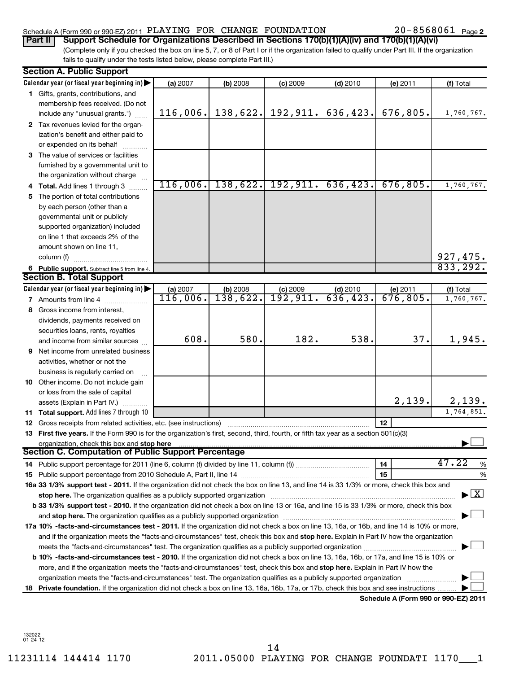# Schedule A (Form 990 or 990-EZ) 2011 PLAYING FOR CHANGE FOUNDATION  $20-8568061$  Page

20-8568061 Page 2

(Complete only if you checked the box on line 5, 7, or 8 of Part I or if the organization failed to qualify under Part III. If the organization fails to qualify under the tests listed below, please complete Part III.) **Part II** Support Schedule for Organizations Described in Sections 170(b)(1)(A)(iv) and 170(b)(1)(A)(vi)

|    | <b>Section A. Public Support</b>                                                                                                                                                                                               |          |            |                                |            |                                      |                                           |
|----|--------------------------------------------------------------------------------------------------------------------------------------------------------------------------------------------------------------------------------|----------|------------|--------------------------------|------------|--------------------------------------|-------------------------------------------|
|    | Calendar year (or fiscal year beginning in)                                                                                                                                                                                    | (a) 2007 | (b) 2008   | (c) 2009                       | $(d)$ 2010 | (e) 2011                             | (f) Total                                 |
|    | 1 Gifts, grants, contributions, and                                                                                                                                                                                            |          |            |                                |            |                                      |                                           |
|    | membership fees received. (Do not                                                                                                                                                                                              |          |            |                                |            |                                      |                                           |
|    | include any "unusual grants.")                                                                                                                                                                                                 | 116,006. |            | $138,622.$ 192, 911.           | 636,423.   | 676,805.                             | 1,760,767.                                |
|    | 2 Tax revenues levied for the organ-                                                                                                                                                                                           |          |            |                                |            |                                      |                                           |
|    | ization's benefit and either paid to                                                                                                                                                                                           |          |            |                                |            |                                      |                                           |
|    | or expended on its behalf                                                                                                                                                                                                      |          |            |                                |            |                                      |                                           |
|    | 3 The value of services or facilities                                                                                                                                                                                          |          |            |                                |            |                                      |                                           |
|    | furnished by a governmental unit to                                                                                                                                                                                            |          |            |                                |            |                                      |                                           |
|    | the organization without charge                                                                                                                                                                                                |          |            |                                |            |                                      |                                           |
|    | <b>Total.</b> Add lines 1 through 3                                                                                                                                                                                            | 116,006. |            | $138,622.$ 192, 911. 636, 423. |            | 676,805.                             | 1,760,767.                                |
| 5. | The portion of total contributions                                                                                                                                                                                             |          |            |                                |            |                                      |                                           |
|    | by each person (other than a                                                                                                                                                                                                   |          |            |                                |            |                                      |                                           |
|    | governmental unit or publicly                                                                                                                                                                                                  |          |            |                                |            |                                      |                                           |
|    | supported organization) included                                                                                                                                                                                               |          |            |                                |            |                                      |                                           |
|    | on line 1 that exceeds 2% of the                                                                                                                                                                                               |          |            |                                |            |                                      |                                           |
|    | amount shown on line 11,                                                                                                                                                                                                       |          |            |                                |            |                                      |                                           |
|    | column (f)                                                                                                                                                                                                                     |          |            |                                |            |                                      | <u>927,475.</u>                           |
|    | 6 Public support. Subtract line 5 from line 4.                                                                                                                                                                                 |          |            |                                |            |                                      | 833, 292.                                 |
|    | <b>Section B. Total Support</b>                                                                                                                                                                                                |          |            |                                |            |                                      |                                           |
|    | Calendar year (or fiscal year beginning in)                                                                                                                                                                                    | (a) 2007 | $(b)$ 2008 | $(c)$ 2009                     | (d) 2010   | (e) 2011                             | (f) Total                                 |
|    | <b>7</b> Amounts from line 4                                                                                                                                                                                                   | 116,006. | 138,622.   | 192,911.                       | 636, 423.  | 676,805.                             | 1,760,767.                                |
| 8  | Gross income from interest,                                                                                                                                                                                                    |          |            |                                |            |                                      |                                           |
|    | dividends, payments received on                                                                                                                                                                                                |          |            |                                |            |                                      |                                           |
|    | securities loans, rents, royalties                                                                                                                                                                                             |          |            |                                |            |                                      |                                           |
|    | and income from similar sources                                                                                                                                                                                                | 608.     | 580.       | 182.                           | 538.       | 37.                                  | 1,945.                                    |
| 9  | Net income from unrelated business                                                                                                                                                                                             |          |            |                                |            |                                      |                                           |
|    | activities, whether or not the                                                                                                                                                                                                 |          |            |                                |            |                                      |                                           |
|    | business is regularly carried on                                                                                                                                                                                               |          |            |                                |            |                                      |                                           |
|    | 10 Other income. Do not include gain                                                                                                                                                                                           |          |            |                                |            |                                      |                                           |
|    | or loss from the sale of capital                                                                                                                                                                                               |          |            |                                |            |                                      |                                           |
|    | assets (Explain in Part IV.)                                                                                                                                                                                                   |          |            |                                |            | 2,139.                               | 2,139.                                    |
| 11 | Total support. Add lines 7 through 10                                                                                                                                                                                          |          |            |                                |            |                                      | 1,764,851.                                |
|    | 12 Gross receipts from related activities, etc. (see instructions)                                                                                                                                                             |          |            |                                |            | 12                                   |                                           |
|    | 13 First five years. If the Form 990 is for the organization's first, second, third, fourth, or fifth tax year as a section 501(c)(3)                                                                                          |          |            |                                |            |                                      |                                           |
|    | organization, check this box and stop here<br><b>Section C. Computation of Public Support Percentage</b>                                                                                                                       |          |            |                                |            |                                      |                                           |
|    |                                                                                                                                                                                                                                |          |            |                                |            | 14                                   | 47.22                                     |
|    |                                                                                                                                                                                                                                |          |            |                                |            | 15                                   | $\%$<br>%                                 |
|    | 16a 33 1/3% support test - 2011. If the organization did not check the box on line 13, and line 14 is 33 1/3% or more, check this box and                                                                                      |          |            |                                |            |                                      |                                           |
|    | stop here. The organization qualifies as a publicly supported organization [11] manuscription manuscription manuscription manuscription manuscription manuscription manuscription of the state of the state of the state of th |          |            |                                |            |                                      | $\blacktriangleright$ $\lfloor x \rfloor$ |
|    | b 33 1/3% support test - 2010. If the organization did not check a box on line 13 or 16a, and line 15 is 33 1/3% or more, check this box                                                                                       |          |            |                                |            |                                      |                                           |
|    |                                                                                                                                                                                                                                |          |            |                                |            |                                      |                                           |
|    | 17a 10% -facts-and-circumstances test - 2011. If the organization did not check a box on line 13, 16a, or 16b, and line 14 is 10% or more,                                                                                     |          |            |                                |            |                                      |                                           |
|    | and if the organization meets the "facts-and-circumstances" test, check this box and stop here. Explain in Part IV how the organization                                                                                        |          |            |                                |            |                                      |                                           |
|    | meets the "facts-and-circumstances" test. The organization qualifies as a publicly supported organization <i>manumumumum</i>                                                                                                   |          |            |                                |            |                                      |                                           |
|    | b 10% -facts-and-circumstances test - 2010. If the organization did not check a box on line 13, 16a, 16b, or 17a, and line 15 is 10% or                                                                                        |          |            |                                |            |                                      |                                           |
|    | more, and if the organization meets the "facts-and-circumstances" test, check this box and stop here. Explain in Part IV how the                                                                                               |          |            |                                |            |                                      |                                           |
|    | organization meets the "facts-and-circumstances" test. The organization qualifies as a publicly supported organization                                                                                                         |          |            |                                |            |                                      |                                           |
| 18 | Private foundation. If the organization did not check a box on line 13, 16a, 16b, 17a, or 17b, check this box and see instructions                                                                                             |          |            |                                |            |                                      |                                           |
|    |                                                                                                                                                                                                                                |          |            |                                |            | Schedule A (Form 990 or 990-EZ) 2011 |                                           |

132022 01-24-12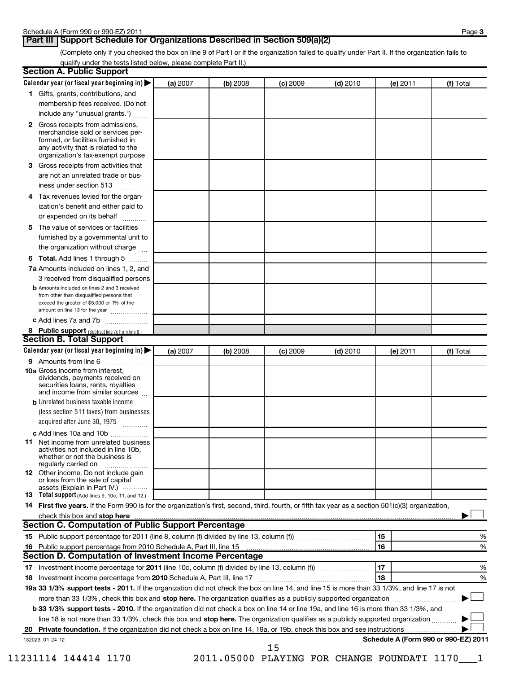# **Part III** Support Schedule for Organizations Described in Section 509(a)(2)

(Complete only if you checked the box on line 9 of Part I or if the organization failed to qualify under Part II. If the organization fails to qualify under the tests listed below, please complete Part II.)

|    | Calendar year (or fiscal year beginning in) $\blacktriangleright$                                                                                   | (a) 2007 | (b) 2008 | (c) 2009 | $(d)$ 2010 |    | (e) 2011 | (f) Total                            |
|----|-----------------------------------------------------------------------------------------------------------------------------------------------------|----------|----------|----------|------------|----|----------|--------------------------------------|
|    | 1 Gifts, grants, contributions, and                                                                                                                 |          |          |          |            |    |          |                                      |
|    | membership fees received. (Do not                                                                                                                   |          |          |          |            |    |          |                                      |
|    | include any "unusual grants.")                                                                                                                      |          |          |          |            |    |          |                                      |
|    | 2 Gross receipts from admissions.                                                                                                                   |          |          |          |            |    |          |                                      |
|    | merchandise sold or services per-<br>formed, or facilities furnished in                                                                             |          |          |          |            |    |          |                                      |
|    | any activity that is related to the                                                                                                                 |          |          |          |            |    |          |                                      |
|    | organization's tax-exempt purpose                                                                                                                   |          |          |          |            |    |          |                                      |
| 3  | Gross receipts from activities that                                                                                                                 |          |          |          |            |    |          |                                      |
|    | are not an unrelated trade or bus-                                                                                                                  |          |          |          |            |    |          |                                      |
|    | iness under section 513                                                                                                                             |          |          |          |            |    |          |                                      |
| 4  | Tax revenues levied for the organ-                                                                                                                  |          |          |          |            |    |          |                                      |
|    | ization's benefit and either paid to                                                                                                                |          |          |          |            |    |          |                                      |
|    | or expended on its behalf                                                                                                                           |          |          |          |            |    |          |                                      |
| 5  | The value of services or facilities                                                                                                                 |          |          |          |            |    |          |                                      |
|    | furnished by a governmental unit to                                                                                                                 |          |          |          |            |    |          |                                      |
|    | the organization without charge                                                                                                                     |          |          |          |            |    |          |                                      |
| 6  | Total. Add lines 1 through 5                                                                                                                        |          |          |          |            |    |          |                                      |
|    | 7a Amounts included on lines 1, 2, and                                                                                                              |          |          |          |            |    |          |                                      |
|    | 3 received from disqualified persons                                                                                                                |          |          |          |            |    |          |                                      |
|    | <b>b</b> Amounts included on lines 2 and 3 received                                                                                                 |          |          |          |            |    |          |                                      |
|    | from other than disqualified persons that<br>exceed the greater of \$5,000 or 1% of the                                                             |          |          |          |            |    |          |                                      |
|    | amount on line 13 for the year                                                                                                                      |          |          |          |            |    |          |                                      |
|    | c Add lines 7a and 7b                                                                                                                               |          |          |          |            |    |          |                                      |
|    | 8 Public support (Subtract line 7c from line 6.)                                                                                                    |          |          |          |            |    |          |                                      |
|    | <b>Section B. Total Support</b>                                                                                                                     |          |          |          |            |    |          |                                      |
|    | Calendar year (or fiscal year beginning in)                                                                                                         | (a) 2007 | (b) 2008 | (c) 2009 | $(d)$ 2010 |    | (e) 2011 | (f) Total                            |
|    | 9 Amounts from line 6                                                                                                                               |          |          |          |            |    |          |                                      |
|    | <b>10a</b> Gross income from interest,                                                                                                              |          |          |          |            |    |          |                                      |
|    | dividends, payments received on<br>securities loans, rents, royalties                                                                               |          |          |          |            |    |          |                                      |
|    | and income from similar sources                                                                                                                     |          |          |          |            |    |          |                                      |
|    | <b>b</b> Unrelated business taxable income                                                                                                          |          |          |          |            |    |          |                                      |
|    | (less section 511 taxes) from businesses                                                                                                            |          |          |          |            |    |          |                                      |
|    | acquired after June 30, 1975<br>$\frac{1}{2}$                                                                                                       |          |          |          |            |    |          |                                      |
|    | c Add lines 10a and 10b                                                                                                                             |          |          |          |            |    |          |                                      |
|    | 11 Net income from unrelated business                                                                                                               |          |          |          |            |    |          |                                      |
|    | activities not included in line 10b.                                                                                                                |          |          |          |            |    |          |                                      |
|    | whether or not the business is<br>regularly carried on                                                                                              |          |          |          |            |    |          |                                      |
|    | 12 Other income. Do not include gain                                                                                                                |          |          |          |            |    |          |                                      |
|    | or loss from the sale of capital                                                                                                                    |          |          |          |            |    |          |                                      |
|    | assets (Explain in Part IV.)<br>13 Total support (Add lines 9, 10c, 11, and 12.)                                                                    |          |          |          |            |    |          |                                      |
|    | 14 First five years. If the Form 990 is for the organization's first, second, third, fourth, or fifth tax year as a section 501(c)(3) organization, |          |          |          |            |    |          |                                      |
|    |                                                                                                                                                     |          |          |          |            |    |          |                                      |
|    |                                                                                                                                                     |          |          |          |            |    |          |                                      |
|    | check this box and stop here <i>macuum macuum macuum macuum macuum macuum macuum macuum macuum macuum</i>                                           |          |          |          |            |    |          |                                      |
|    | <b>Section C. Computation of Public Support Percentage</b>                                                                                          |          |          |          |            |    |          |                                      |
|    |                                                                                                                                                     |          |          |          |            | 15 |          |                                      |
| 16 |                                                                                                                                                     |          |          |          |            | 16 |          |                                      |
|    | Section D. Computation of Investment Income Percentage                                                                                              |          |          |          |            |    |          |                                      |
|    |                                                                                                                                                     |          |          |          |            | 17 |          |                                      |
| 18 | Investment income percentage from 2010 Schedule A, Part III, line 17                                                                                |          |          |          |            | 18 |          |                                      |
|    | 19a 33 1/3% support tests - 2011. If the organization did not check the box on line 14, and line 15 is more than 33 1/3%, and line 17 is not        |          |          |          |            |    |          |                                      |
|    | more than 33 1/3%, check this box and stop here. The organization qualifies as a publicly supported organization <i>manameroman</i> management      |          |          |          |            |    |          |                                      |
|    | b 33 1/3% support tests - 2010. If the organization did not check a box on line 14 or line 19a, and line 16 is more than 33 1/3%, and               |          |          |          |            |    |          |                                      |
|    | line 18 is not more than 33 1/3%, check this box and stop here. The organization qualifies as a publicly supported organization                     |          |          |          |            |    |          | %<br>%<br>$\%$<br>$\%$               |
|    | 132023 01-24-12                                                                                                                                     |          |          |          |            |    |          | Schedule A (Form 990 or 990-EZ) 2011 |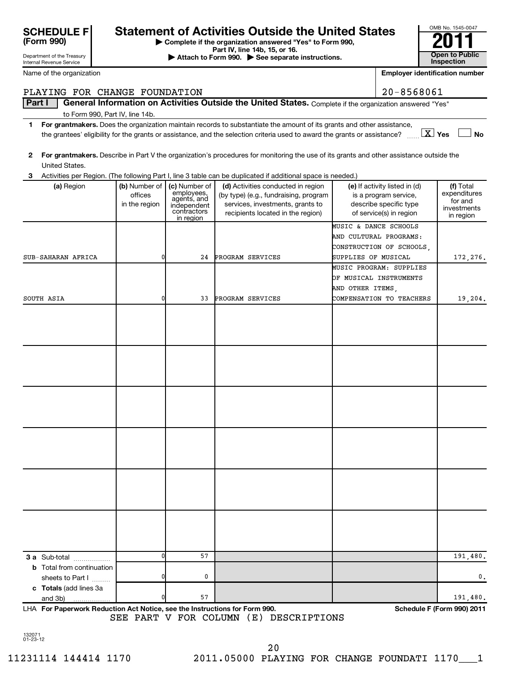| <b>SCHEDULE F</b> |  |
|-------------------|--|
| (Form 990)        |  |

Department of the Treasury Internal Revenue Service

# **Statement of Activities Outside the United States**

**| Complete if the organization answered "Yes" to Form 990,**

**Part IV, line 14b, 15, or 16. Conserved Bart IV, Ince 14b, 15, or 16. Conserved Bart IV, 15 See separate instructions. Conserved Bart III Conserved Bart III Conserved Bart II Conserved Bart II Conserved Bart** 

| OMB No. 1545-0047     |
|-----------------------|
|                       |
|                       |
| <b>Open to Public</b> |
| Inspection            |

|        | Name of the organization         |               |                            |                                                                                                                                         |                       | <b>Employer identification number</b>             |                         |
|--------|----------------------------------|---------------|----------------------------|-----------------------------------------------------------------------------------------------------------------------------------------|-----------------------|---------------------------------------------------|-------------------------|
|        | PLAYING FOR CHANGE FOUNDATION    |               |                            |                                                                                                                                         |                       | $20 - 8568061$                                    |                         |
| Part I |                                  |               |                            | General Information on Activities Outside the United States. Complete if the organization answered "Yes"                                |                       |                                                   |                         |
|        | to Form 990, Part IV, line 14b.  |               |                            |                                                                                                                                         |                       |                                                   |                         |
| 1      |                                  |               |                            | For grantmakers. Does the organization maintain records to substantiate the amount of its grants and other assistance,                  |                       |                                                   |                         |
|        |                                  |               |                            | the grantees' eligibility for the grants or assistance, and the selection criteria used to award the grants or assistance?              |                       | $\boxed{\text{X}}$ Yes                            | <b>No</b>               |
|        |                                  |               |                            |                                                                                                                                         |                       |                                                   |                         |
| 2      |                                  |               |                            | For grantmakers. Describe in Part V the organization's procedures for monitoring the use of its grants and other assistance outside the |                       |                                                   |                         |
|        | United States.                   |               |                            |                                                                                                                                         |                       |                                                   |                         |
| з      |                                  |               |                            | Activities per Region. (The following Part I, line 3 table can be duplicated if additional space is needed.)                            |                       |                                                   |                         |
|        | (a) Region                       | (b) Number of | (c) Number of              | (d) Activities conducted in region                                                                                                      |                       | (e) If activity listed in (d)                     | (f) Total               |
|        |                                  | offices       | employees,<br>agents, and  | (by type) (e.g., fundraising, program                                                                                                   |                       | is a program service,                             | expenditures<br>for and |
|        |                                  | in the region | independent<br>contractors | services, investments, grants to<br>recipients located in the region)                                                                   |                       | describe specific type<br>of service(s) in region | investments             |
|        |                                  |               | in region                  |                                                                                                                                         |                       |                                                   | in region               |
|        |                                  |               |                            |                                                                                                                                         | MUSIC & DANCE SCHOOLS |                                                   |                         |
|        |                                  |               |                            |                                                                                                                                         |                       | AND CULTURAL PROGRAMS:                            |                         |
|        |                                  |               |                            |                                                                                                                                         |                       | CONSTRUCTION OF SCHOOLS,                          |                         |
|        | SUB-SAHARAN AFRICA               | 0             | 24                         | PROGRAM SERVICES                                                                                                                        | SUPPLIES OF MUSICAL   | MUSIC PROGRAM: SUPPLIES                           | 172,276.                |
|        |                                  |               |                            |                                                                                                                                         |                       | OF MUSICAL INSTRUMENTS                            |                         |
|        |                                  |               |                            |                                                                                                                                         | AND OTHER ITEMS,      |                                                   |                         |
|        | SOUTH ASIA                       | 0             | 33                         | PROGRAM SERVICES                                                                                                                        |                       | COMPENSATION TO TEACHERS                          | 19,204.                 |
|        |                                  |               |                            |                                                                                                                                         |                       |                                                   |                         |
|        |                                  |               |                            |                                                                                                                                         |                       |                                                   |                         |
|        |                                  |               |                            |                                                                                                                                         |                       |                                                   |                         |
|        |                                  |               |                            |                                                                                                                                         |                       |                                                   |                         |
|        |                                  |               |                            |                                                                                                                                         |                       |                                                   |                         |
|        |                                  |               |                            |                                                                                                                                         |                       |                                                   |                         |
|        |                                  |               |                            |                                                                                                                                         |                       |                                                   |                         |
|        |                                  |               |                            |                                                                                                                                         |                       |                                                   |                         |
|        |                                  |               |                            |                                                                                                                                         |                       |                                                   |                         |
|        |                                  |               |                            |                                                                                                                                         |                       |                                                   |                         |
|        |                                  |               |                            |                                                                                                                                         |                       |                                                   |                         |
|        |                                  |               |                            |                                                                                                                                         |                       |                                                   |                         |
|        |                                  |               |                            |                                                                                                                                         |                       |                                                   |                         |
|        |                                  |               |                            |                                                                                                                                         |                       |                                                   |                         |
|        |                                  |               |                            |                                                                                                                                         |                       |                                                   |                         |
|        |                                  |               |                            |                                                                                                                                         |                       |                                                   |                         |
|        |                                  |               |                            |                                                                                                                                         |                       |                                                   |                         |
|        |                                  |               |                            |                                                                                                                                         |                       |                                                   |                         |
|        |                                  |               |                            |                                                                                                                                         |                       |                                                   |                         |
|        |                                  |               |                            |                                                                                                                                         |                       |                                                   |                         |
|        |                                  |               |                            |                                                                                                                                         |                       |                                                   |                         |
|        |                                  |               |                            |                                                                                                                                         |                       |                                                   |                         |
|        |                                  |               |                            |                                                                                                                                         |                       |                                                   |                         |
|        | <b>3 a</b> Sub-total             | 0             | 57                         |                                                                                                                                         |                       |                                                   | 191,480.                |
|        | <b>b</b> Total from continuation |               |                            |                                                                                                                                         |                       |                                                   |                         |
|        | sheets to Part I                 | 0             | 0                          |                                                                                                                                         |                       |                                                   | $\mathbf{0}$ .          |
|        | c Totals (add lines 3a           |               |                            |                                                                                                                                         |                       |                                                   |                         |
|        | and 3b)                          | 0             | 57                         |                                                                                                                                         |                       |                                                   | 191,480.                |

**For Paperwork Reduction Act Notice, see the Instructions for Form 990. Schedule F (Form 990) 2011** LHA SEE PART V FOR COLUMN (E) DESCRIPTIONS

132071 01-23-12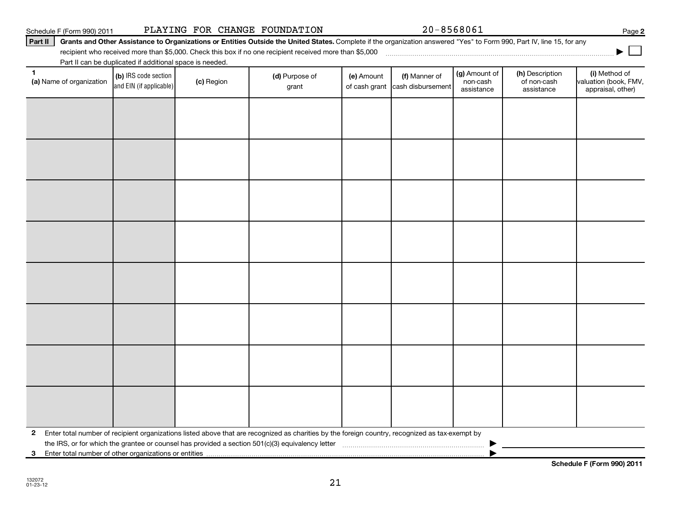**2** Enter total number of recipient organizations listed above that are recognized as charities by the foreign country, recognized as tax-exempt by the IRS, or for which the grantee or counsel has provided a section 501(c)(3) equivalency letter ~~~~~~~~~~~~~~~~~~~~~~~ |

21

**3** Enter total number of other organizations or entities |

**Schedule F (Form 990) 2011**

| Schedule F (Form 990) 2011 |                                                          |            | PLAYING FOR CHANGE FOUNDATION                                                                                                                                          |                             | 20-8568061                         |                                         |                                              | Page 2                                                      |
|----------------------------|----------------------------------------------------------|------------|------------------------------------------------------------------------------------------------------------------------------------------------------------------------|-----------------------------|------------------------------------|-----------------------------------------|----------------------------------------------|-------------------------------------------------------------|
| Part II                    |                                                          |            | Grants and Other Assistance to Organizations or Entities Outside the United States. Complete if the organization answered "Yes" to Form 990, Part IV, line 15, for any |                             |                                    |                                         |                                              |                                                             |
|                            |                                                          |            | recipient who received more than \$5,000. Check this box if no one recipient received more than \$5,000                                                                |                             |                                    |                                         |                                              |                                                             |
|                            | Part II can be duplicated if additional space is needed. |            |                                                                                                                                                                        |                             |                                    |                                         |                                              |                                                             |
| (a) Name of organization   | (b) IRS code section<br>and EIN (if applicable)          | (c) Region | (d) Purpose of<br>grant                                                                                                                                                | (e) Amount<br>of cash grant | (f) Manner of<br>cash disbursement | (g) Amount of<br>non-cash<br>assistance | (h) Description<br>of non-cash<br>assistance | (i) Method of<br>valuation (book, FMV,<br>appraisal, other) |
|                            |                                                          |            |                                                                                                                                                                        |                             |                                    |                                         |                                              |                                                             |
|                            |                                                          |            |                                                                                                                                                                        |                             |                                    |                                         |                                              |                                                             |
|                            |                                                          |            |                                                                                                                                                                        |                             |                                    |                                         |                                              |                                                             |
|                            |                                                          |            |                                                                                                                                                                        |                             |                                    |                                         |                                              |                                                             |
|                            |                                                          |            |                                                                                                                                                                        |                             |                                    |                                         |                                              |                                                             |
|                            |                                                          |            |                                                                                                                                                                        |                             |                                    |                                         |                                              |                                                             |
|                            |                                                          |            |                                                                                                                                                                        |                             |                                    |                                         |                                              |                                                             |
|                            |                                                          |            |                                                                                                                                                                        |                             |                                    |                                         |                                              |                                                             |
|                            |                                                          |            |                                                                                                                                                                        |                             |                                    |                                         |                                              |                                                             |
|                            |                                                          |            |                                                                                                                                                                        |                             |                                    |                                         |                                              |                                                             |

**2**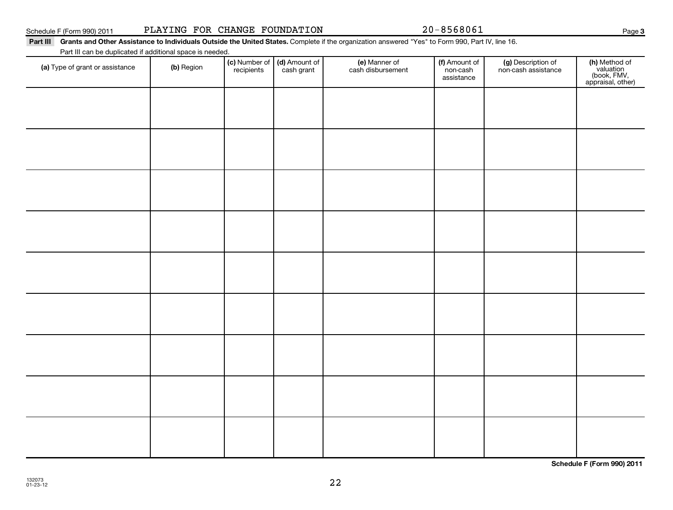**Schedule F (Form 990) 2011**

# Schedule F (Form 990) 2011 PLAYING FOR CHANGE FOUNDATION 20-8568061

#### Part III Grants and Other Assistance to Individuals Outside the United States. Complete if the organization answered "Yes" to Form 990, Part IV, line 16.

Part III can be duplicated if additional space is needed.

| Part in can be duplicated if additional space is needed. |            |                                                      |                                    |                                         |                                           |                                                                |
|----------------------------------------------------------|------------|------------------------------------------------------|------------------------------------|-----------------------------------------|-------------------------------------------|----------------------------------------------------------------|
| (a) Type of grant or assistance                          | (b) Region | (c) Number of (d) Amount of<br>recipients cash grant | (e) Manner of<br>cash disbursement | (f) Amount of<br>non-cash<br>assistance | (g) Description of<br>non-cash assistance | (h) Method of<br>valuation<br>(book, FMV,<br>appraisal, other) |
|                                                          |            |                                                      |                                    |                                         |                                           |                                                                |
|                                                          |            |                                                      |                                    |                                         |                                           |                                                                |
|                                                          |            |                                                      |                                    |                                         |                                           |                                                                |
|                                                          |            |                                                      |                                    |                                         |                                           |                                                                |
|                                                          |            |                                                      |                                    |                                         |                                           |                                                                |
|                                                          |            |                                                      |                                    |                                         |                                           |                                                                |
|                                                          |            |                                                      |                                    |                                         |                                           |                                                                |
|                                                          |            |                                                      |                                    |                                         |                                           |                                                                |
|                                                          |            |                                                      |                                    |                                         |                                           |                                                                |
|                                                          |            |                                                      |                                    |                                         |                                           |                                                                |
|                                                          |            |                                                      |                                    |                                         |                                           |                                                                |
|                                                          |            |                                                      |                                    |                                         |                                           |                                                                |
|                                                          |            |                                                      |                                    |                                         |                                           |                                                                |
|                                                          |            |                                                      |                                    |                                         |                                           |                                                                |
|                                                          |            |                                                      |                                    |                                         |                                           |                                                                |
|                                                          |            |                                                      |                                    |                                         |                                           |                                                                |
|                                                          |            |                                                      |                                    |                                         |                                           |                                                                |
|                                                          |            |                                                      |                                    |                                         |                                           |                                                                |

22

**3**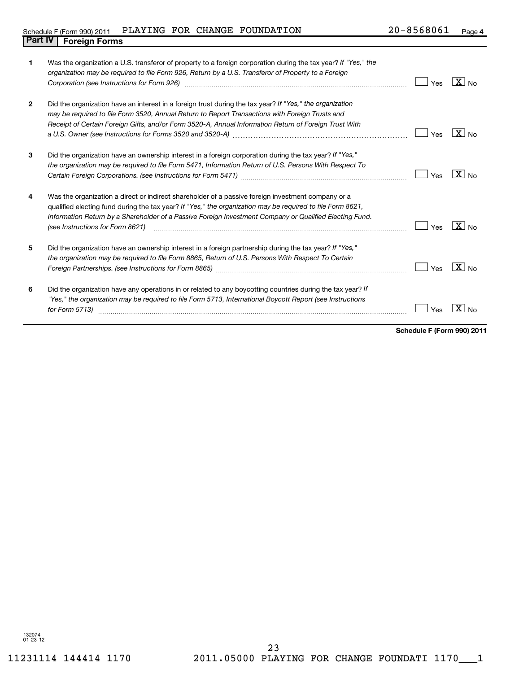# Schedule F (Form 990) 2011 PLAYING FOR CHANGE FOUNDATION  $20-8568061$  Page **Part IV Foreign Forms**

| 1            | Was the organization a U.S. transferor of property to a foreign corporation during the tax year? If "Yes," the<br>organization may be required to file Form 926, Return by a U.S. Transferor of Property to a Foreign<br>Corporation (see Instructions for Form 926) [11] Corporation (2010] Corporation (300 Instruction (300 Instructions of Porm 926)        | Yes | $X _{N0}$         |
|--------------|-----------------------------------------------------------------------------------------------------------------------------------------------------------------------------------------------------------------------------------------------------------------------------------------------------------------------------------------------------------------|-----|-------------------|
| $\mathbf{2}$ | Did the organization have an interest in a foreign trust during the tax year? If "Yes," the organization<br>may be required to file Form 3520, Annual Return to Report Transactions with Foreign Trusts and<br>Receipt of Certain Foreign Gifts, and/or Form 3520-A, Annual Information Return of Foreign Trust With                                            | Yes | $X _{N0}$         |
| 3            | Did the organization have an ownership interest in a foreign corporation during the tax year? If "Yes,"<br>the organization may be required to file Form 5471, Information Return of U.S. Persons With Respect To                                                                                                                                               | Yes | $\overline{X}$ No |
| 4            | Was the organization a direct or indirect shareholder of a passive foreign investment company or a<br>qualified electing fund during the tax year? If "Yes," the organization may be required to file Form 8621,<br>Information Return by a Shareholder of a Passive Foreign Investment Company or Qualified Electing Fund.<br>(see Instructions for Form 8621) | Yes | $X _{\text{No}}$  |
| 5            | Did the organization have an ownership interest in a foreign partnership during the tax year? If "Yes,"<br>the organization may be required to file Form 8865, Return of U.S. Persons With Respect To Certain                                                                                                                                                   | Yes | $X _{N0}$         |
| 6            | Did the organization have any operations in or related to any boycotting countries during the tax year? If<br>"Yes," the organization may be required to file Form 5713, International Boycott Report (see Instructions<br>for Form 5713)                                                                                                                       | Yes |                   |

**Schedule F (Form 990) 2011**

132074 01-23-12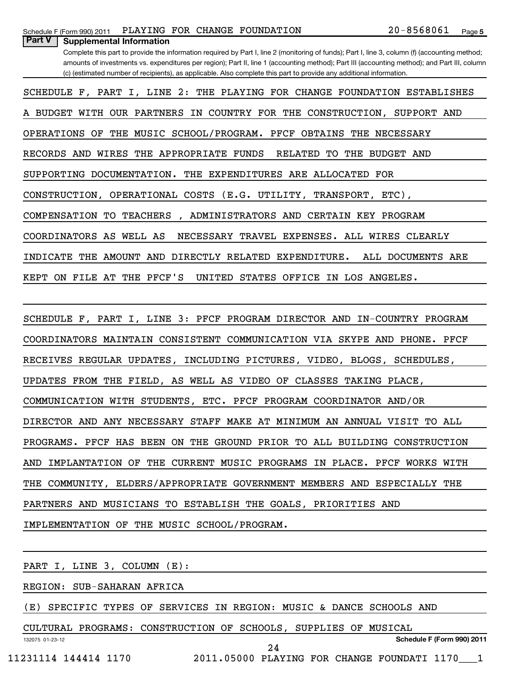| PLAYING FOR CHANGE FOUNDATION<br>Schedule F (Form 990) 2011                                                                                    | 20-8568061<br>Page 5 |  |
|------------------------------------------------------------------------------------------------------------------------------------------------|----------------------|--|
| Part V<br><b>Supplemental Information</b>                                                                                                      |                      |  |
| Complete this part to provide the information required by Part I, line 2 (monitoring of funds); Part I, line 3, column (f) (accounting method; |                      |  |
| amounts of investments vs. expenditures per region); Part II, line 1 (accounting method); Part III (accounting method); and Part III, column   |                      |  |
| (c) (estimated number of recipients), as applicable. Also complete this part to provide any additional information.                            |                      |  |
| SCHEDULE F, PART I, LINE 2: THE PLAYING FOR CHANGE FOUNDATION ESTABLISHES                                                                      |                      |  |
| A BUDGET WITH OUR PARTNERS IN COUNTRY FOR THE CONSTRUCTION, SUPPORT AND                                                                        |                      |  |
| OPERATIONS OF THE MUSIC SCHOOL/PROGRAM. PFCF<br><b>OBTAINS THE</b>                                                                             | NECESSARY            |  |
| RECORDS AND WIRES THE APPROPRIATE<br>FUNDS<br>RELATED<br>TO<br>THE                                                                             | <b>BUDGET AND</b>    |  |
| THE EXPENDITURES ARE ALLOCATED FOR<br>SUPPORTING DOCUMENTATION.                                                                                |                      |  |
| CONSTRUCTION, OPERATIONAL COSTS (E.G. UTILITY, TRANSPORT, ETC),                                                                                |                      |  |
| COMPENSATION TO TEACHERS<br>ADMINISTRATORS AND CERTAIN KEY PROGRAM                                                                             |                      |  |
| COORDINATORS AS WELL AS<br>NECESSARY TRAVEL<br>EXPENSES. ALL WIRES CLEARLY                                                                     |                      |  |
| AMOUNT AND<br>DIRECTLY RELATED<br>EXPENDITURE.<br>INDICATE<br>THE                                                                              | ALL DOCUMENTS ARE    |  |
| FILE AT<br>THE<br>PFCF'S<br>OFFICE<br>ON.<br>UNITED<br><b>STATES</b><br>IN LOS ANGELES.<br>KEPT                                                |                      |  |
|                                                                                                                                                |                      |  |
|                                                                                                                                                |                      |  |

SCHEDULE F, PART I, LINE 3: PFCF PROGRAM DIRECTOR AND IN-COUNTRY PROGRAM COORDINATORS MAINTAIN CONSISTENT COMMUNICATION VIA SKYPE AND PHONE. PFCF RECEIVES REGULAR UPDATES, INCLUDING PICTURES, VIDEO, BLOGS, SCHEDULES, UPDATES FROM THE FIELD, AS WELL AS VIDEO OF CLASSES TAKING PLACE, COMMUNICATION WITH STUDENTS, ETC. PFCF PROGRAM COORDINATOR AND/OR DIRECTOR AND ANY NECESSARY STAFF MAKE AT MINIMUM AN ANNUAL VISIT TO ALL PROGRAMS. PFCF HAS BEEN ON THE GROUND PRIOR TO ALL BUILDING CONSTRUCTION AND IMPLANTATION OF THE CURRENT MUSIC PROGRAMS IN PLACE. PFCF WORKS WITH THE COMMUNITY, ELDERS/APPROPRIATE GOVERNMENT MEMBERS AND ESPECIALLY THE PARTNERS AND MUSICIANS TO ESTABLISH THE GOALS, PRIORITIES AND IMPLEMENTATION OF THE MUSIC SCHOOL/PROGRAM.

132075 01-23-12 PART I, LINE 3, COLUMN (E): REGION: SUB-SAHARAN AFRICA (E) SPECIFIC TYPES OF SERVICES IN REGION: MUSIC & DANCE SCHOOLS AND CULTURAL PROGRAMS: CONSTRUCTION OF SCHOOLS, SUPPLIES OF MUSICAL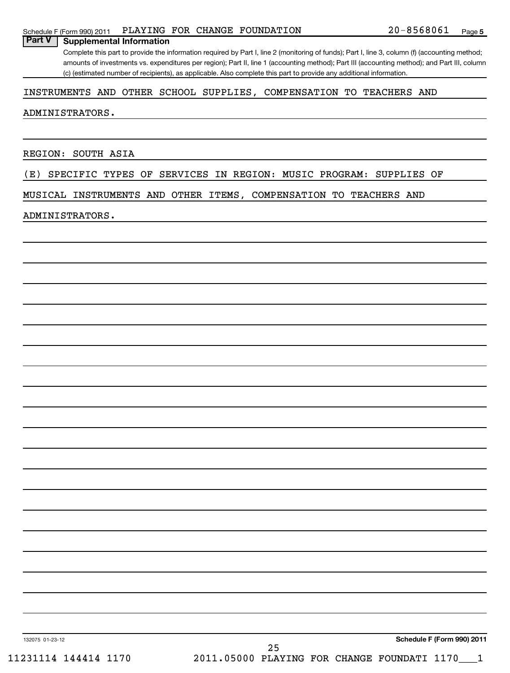### Schedule F (Form 990) 2011 PLAYING FOR CHANGE FOUNDATION  $20-8568061$  Page

Complete this part to provide the information required by Part I, line 2 (monitoring of funds); Part I, line 3, column (f) (accounting method; amounts of investments vs. expenditures per region); Part II, line 1 (accounting method); Part III (accounting method); and Part III, column (c) (estimated number of recipients), as applicable. Also complete this part to provide any additional information.

## INSTRUMENTS AND OTHER SCHOOL SUPPLIES, COMPENSATION TO TEACHERS AND

#### ADMINISTRATORS.

REGION: SOUTH ASIA

**Part V Supplemental Information**

(E) SPECIFIC TYPES OF SERVICES IN REGION: MUSIC PROGRAM: SUPPLIES OF

MUSICAL INSTRUMENTS AND OTHER ITEMS, COMPENSATION TO TEACHERS AND

#### ADMINISTRATORS.

132075 01-23-12

**Schedule F (Form 990) 2011** 11231114 144414 1170 2011.05000 PLAYING FOR CHANGE FOUNDATI 1170\_\_\_1 25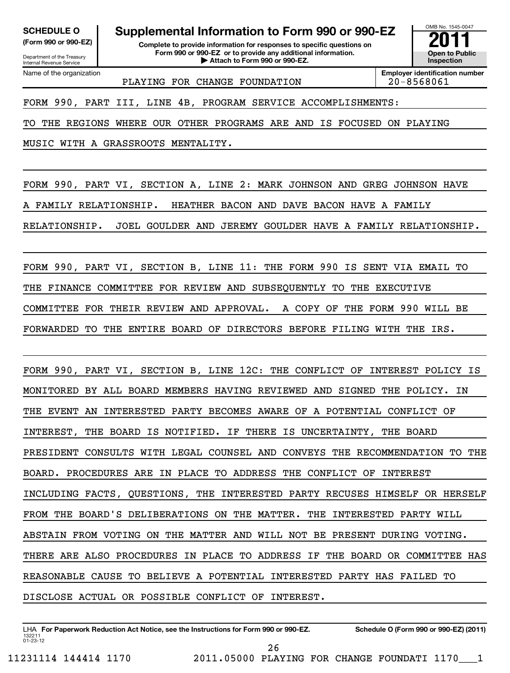Department of the Treasury Internal Revenue Service

**(Form 990 or 990-EZ) Complete to provide information for responses to specific questions on Form 990 or 990-EZ or to provide any additional information. | Attach to Form 990 or 990-EZ. Open to Public** SCHEDULE O **Supplemental Information to Form 990 or 990-EZ**<br> **Supplemental Information for responses to specific questions on**<br>
Form 990 or 990-EZ or to provide any additional information.

OMB No. 1545-0047 **Inspection**

Name of the organization

PLAYING FOR CHANGE FOUNDATION | 20-8568061

**Employer identification number**

FORM 990, PART III, LINE 4B, PROGRAM SERVICE ACCOMPLISHMENTS:

TO THE REGIONS WHERE OUR OTHER PROGRAMS ARE AND IS FOCUSED ON PLAYING

MUSIC WITH A GRASSROOTS MENTALITY.

FORM 990, PART VI, SECTION A, LINE 2: MARK JOHNSON AND GREG JOHNSON HAVE

A FAMILY RELATIONSHIP. HEATHER BACON AND DAVE BACON HAVE A FAMILY

RELATIONSHIP. JOEL GOULDER AND JEREMY GOULDER HAVE A FAMILY RELATIONSHIP.

FORM 990, PART VI, SECTION B, LINE 11: THE FORM 990 IS SENT VIA EMAIL TO THE FINANCE COMMITTEE FOR REVIEW AND SUBSEQUENTLY TO THE EXECUTIVE COMMITTEE FOR THEIR REVIEW AND APPROVAL. A COPY OF THE FORM 990 WILL BE FORWARDED TO THE ENTIRE BOARD OF DIRECTORS BEFORE FILING WITH THE IRS.

FORM 990, PART VI, SECTION B, LINE 12C: THE CONFLICT OF INTEREST POLICY IS MONITORED BY ALL BOARD MEMBERS HAVING REVIEWED AND SIGNED THE POLICY. IN THE EVENT AN INTERESTED PARTY BECOMES AWARE OF A POTENTIAL CONFLICT OF INTEREST, THE BOARD IS NOTIFIED. IF THERE IS UNCERTAINTY, THE BOARD PRESIDENT CONSULTS WITH LEGAL COUNSEL AND CONVEYS THE RECOMMENDATION TO THE BOARD. PROCEDURES ARE IN PLACE TO ADDRESS THE CONFLICT OF INTEREST INCLUDING FACTS, QUESTIONS, THE INTERESTED PARTY RECUSES HIMSELF OR HERSELF FROM THE BOARD'S DELIBERATIONS ON THE MATTER. THE INTERESTED PARTY WILL ABSTAIN FROM VOTING ON THE MATTER AND WILL NOT BE PRESENT DURING VOTING. THERE ARE ALSO PROCEDURES IN PLACE TO ADDRESS IF THE BOARD OR COMMITTEE HAS REASONABLE CAUSE TO BELIEVE A POTENTIAL INTERESTED PARTY HAS FAILED TO DISCLOSE ACTUAL OR POSSIBLE CONFLICT OF INTEREST.

132211 01-23-12 LHA For Paperwork Reduction Act Notice, see the Instructions for Form 990 or 990-EZ. Schedule O (Form 990 or 990-EZ) (2011) 26